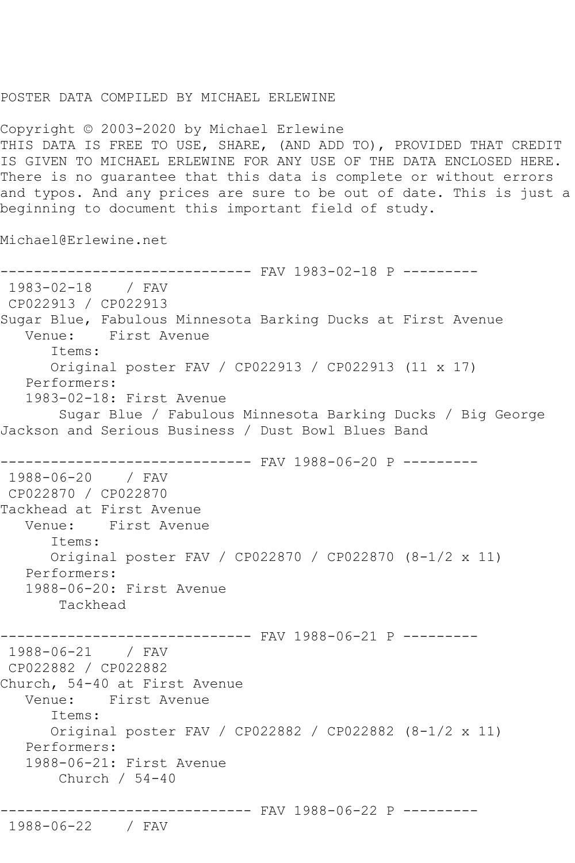## POSTER DATA COMPILED BY MICHAEL ERLEWINE

Copyright © 2003-2020 by Michael Erlewine THIS DATA IS FREE TO USE, SHARE, (AND ADD TO), PROVIDED THAT CREDIT IS GIVEN TO MICHAEL ERLEWINE FOR ANY USE OF THE DATA ENCLOSED HERE. There is no guarantee that this data is complete or without errors and typos. And any prices are sure to be out of date. This is just a beginning to document this important field of study.

Michael@Erlewine.net

------------------------------ FAV 1983-02-18 P --------- 1983-02-18 / FAV CP022913 / CP022913 Sugar Blue, Fabulous Minnesota Barking Ducks at First Avenue Venue: First Avenue Items: Original poster FAV / CP022913 / CP022913 (11 x 17) Performers: 1983-02-18: First Avenue Sugar Blue / Fabulous Minnesota Barking Ducks / Big George Jackson and Serious Business / Dust Bowl Blues Band ------------------------------ FAV 1988-06-20 P --------- 1988-06-20 / FAV CP022870 / CP022870 Tackhead at First Avenue Venue: First Avenue Items: Original poster FAV / CP022870 / CP022870 (8-1/2 x 11) Performers: 1988-06-20: First Avenue Tackhead ------------------------------ FAV 1988-06-21 P --------- 1988-06-21 / FAV CP022882 / CP022882 Church, 54-40 at First Avenue Venue: First Avenue Items: Original poster FAV / CP022882 / CP022882 (8-1/2 x 11) Performers: 1988-06-21: First Avenue Church / 54-40 ------------------------------ FAV 1988-06-22 P ---------

```
1988-06-22 / FAV
```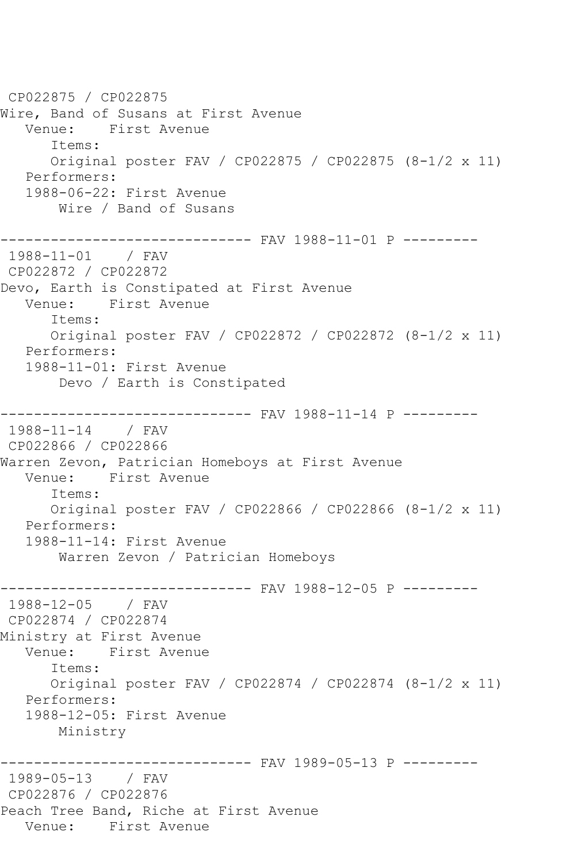CP022875 / CP022875 Wire, Band of Susans at First Avenue Venue: First Avenue Items: Original poster FAV / CP022875 / CP022875 (8-1/2 x 11) Performers: 1988-06-22: First Avenue Wire / Band of Susans ------------------------------ FAV 1988-11-01 P --------- 1988-11-01 / FAV CP022872 / CP022872 Devo, Earth is Constipated at First Avenue Venue: First Avenue Items: Original poster FAV / CP022872 / CP022872 (8-1/2 x 11) Performers: 1988-11-01: First Avenue Devo / Earth is Constipated ------------------------------ FAV 1988-11-14 P --------- 1988-11-14 / FAV CP022866 / CP022866 Warren Zevon, Patrician Homeboys at First Avenue Venue: First Avenue Items: Original poster FAV / CP022866 / CP022866 (8-1/2 x 11) Performers: 1988-11-14: First Avenue Warren Zevon / Patrician Homeboys ------------------------------ FAV 1988-12-05 P --------- 1988-12-05 / FAV CP022874 / CP022874 Ministry at First Avenue Venue: First Avenue Items: Original poster FAV / CP022874 / CP022874 (8-1/2 x 11) Performers: 1988-12-05: First Avenue Ministry ------------------------------ FAV 1989-05-13 P --------- 1989-05-13 / FAV CP022876 / CP022876 Peach Tree Band, Riche at First Avenue Venue: First Avenue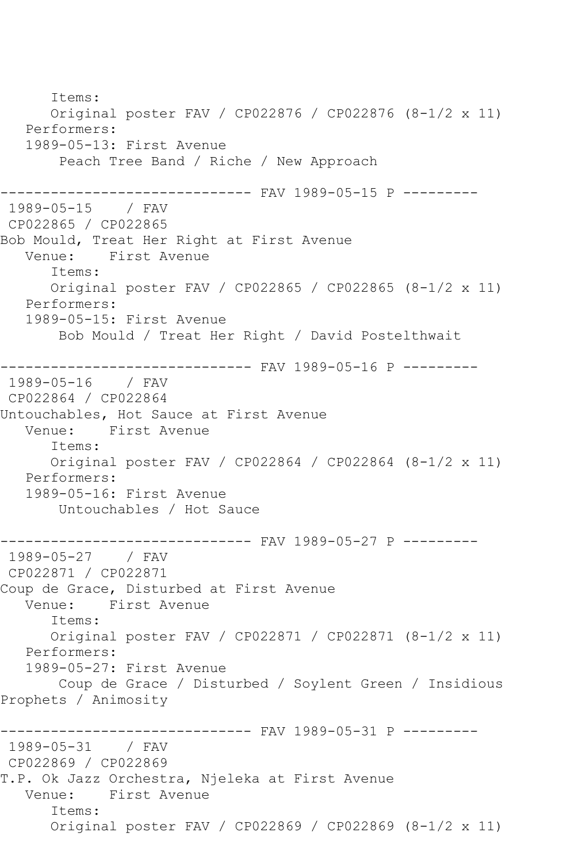Items: Original poster FAV / CP022876 / CP022876 (8-1/2 x 11) Performers: 1989-05-13: First Avenue Peach Tree Band / Riche / New Approach ------------------------------ FAV 1989-05-15 P --------- 1989-05-15 / FAV CP022865 / CP022865 Bob Mould, Treat Her Right at First Avenue<br>Venue: First Avenue First Avenue Items: Original poster FAV / CP022865 / CP022865 (8-1/2 x 11) Performers: 1989-05-15: First Avenue Bob Mould / Treat Her Right / David Postelthwait ------------------------------ FAV 1989-05-16 P --------- 1989-05-16 / FAV CP022864 / CP022864 Untouchables, Hot Sauce at First Avenue Venue: First Avenue Items: Original poster FAV / CP022864 / CP022864 (8-1/2 x 11) Performers: 1989-05-16: First Avenue Untouchables / Hot Sauce ------------------------------ FAV 1989-05-27 P --------- 1989-05-27 / FAV CP022871 / CP022871 Coup de Grace, Disturbed at First Avenue Venue: First Avenue Items: Original poster FAV / CP022871 / CP022871 (8-1/2 x 11) Performers: 1989-05-27: First Avenue Coup de Grace / Disturbed / Soylent Green / Insidious Prophets / Animosity ------------------------------ FAV 1989-05-31 P --------- 1989-05-31 / FAV CP022869 / CP022869 T.P. Ok Jazz Orchestra, Njeleka at First Avenue Venue: First Avenue Items: Original poster FAV / CP022869 / CP022869 (8-1/2 x 11)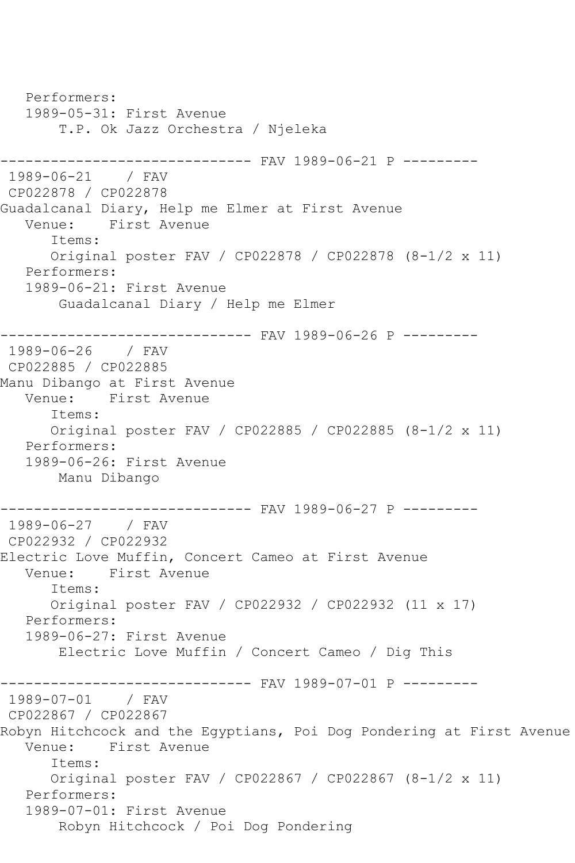Performers: 1989-05-31: First Avenue T.P. Ok Jazz Orchestra / Njeleka ------------------------------ FAV 1989-06-21 P --------- 1989-06-21 / FAV CP022878 / CP022878 Guadalcanal Diary, Help me Elmer at First Avenue Venue: First Avenue Items: Original poster FAV / CP022878 / CP022878 (8-1/2 x 11) Performers: 1989-06-21: First Avenue Guadalcanal Diary / Help me Elmer ------------------------------ FAV 1989-06-26 P --------- 1989-06-26 / FAV CP022885 / CP022885 Manu Dibango at First Avenue Venue: First Avenue Items: Original poster FAV / CP022885 / CP022885 (8-1/2 x 11) Performers: 1989-06-26: First Avenue Manu Dibango ------------------------------ FAV 1989-06-27 P --------- 1989-06-27 / FAV CP022932 / CP022932 Electric Love Muffin, Concert Cameo at First Avenue Venue: First Avenue Items: Original poster FAV / CP022932 / CP022932 (11 x 17) Performers: 1989-06-27: First Avenue Electric Love Muffin / Concert Cameo / Dig This ------------------------------ FAV 1989-07-01 P --------- 1989-07-01 / FAV CP022867 / CP022867 Robyn Hitchcock and the Egyptians, Poi Dog Pondering at First Avenue Venue: First Avenue Items: Original poster FAV / CP022867 / CP022867 (8-1/2 x 11) Performers: 1989-07-01: First Avenue Robyn Hitchcock / Poi Dog Pondering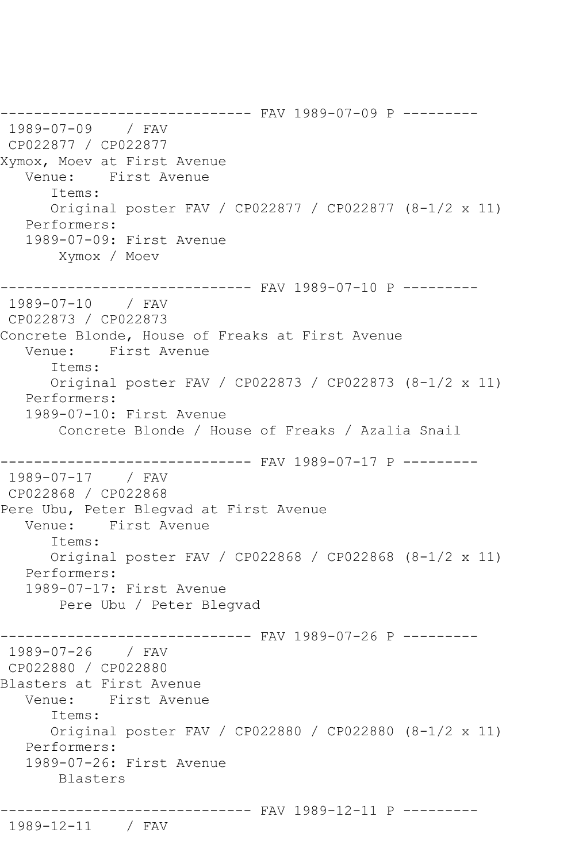------------------------------ FAV 1989-07-09 P --------- 1989-07-09 / FAV CP022877 / CP022877 Xymox, Moev at First Avenue Venue: First Avenue Items: Original poster FAV / CP022877 / CP022877 (8-1/2 x 11) Performers: 1989-07-09: First Avenue Xymox / Moev ------------------------------ FAV 1989-07-10 P --------- 1989-07-10 / FAV CP022873 / CP022873 Concrete Blonde, House of Freaks at First Avenue Venue: First Avenue Items: Original poster FAV / CP022873 / CP022873 (8-1/2 x 11) Performers: 1989-07-10: First Avenue Concrete Blonde / House of Freaks / Azalia Snail ------------------------------ FAV 1989-07-17 P --------- 1989-07-17 / FAV CP022868 / CP022868 Pere Ubu, Peter Blegvad at First Avenue Venue: First Avenue Items: Original poster FAV / CP022868 / CP022868 (8-1/2 x 11) Performers: 1989-07-17: First Avenue Pere Ubu / Peter Blegvad ---------- FAV 1989-07-26 P ---------1989-07-26 / FAV CP022880 / CP022880 Blasters at First Avenue Venue: First Avenue Items: Original poster FAV / CP022880 / CP022880 (8-1/2 x 11) Performers: 1989-07-26: First Avenue Blasters ------------------------------ FAV 1989-12-11 P ---------

```
1989-12-11 / FAV
```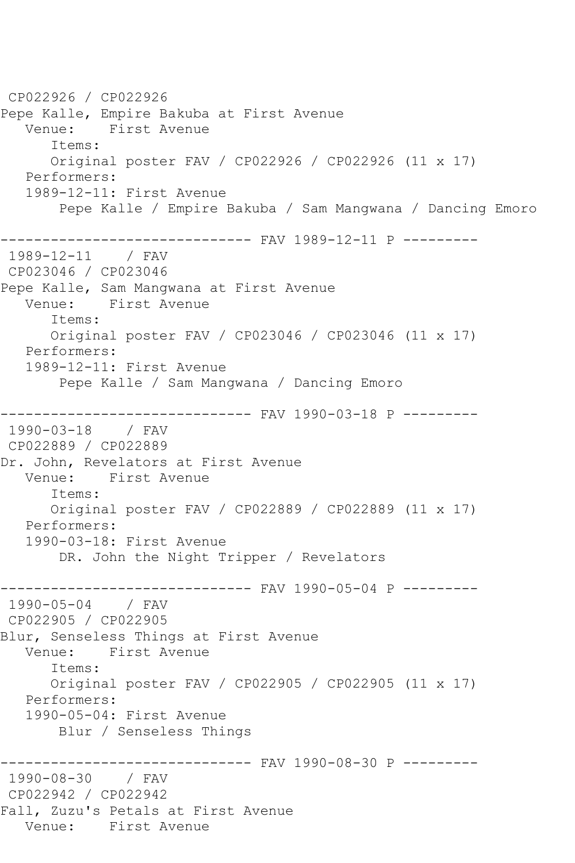CP022926 / CP022926 Pepe Kalle, Empire Bakuba at First Avenue Venue: First Avenue Items: Original poster FAV / CP022926 / CP022926 (11 x 17) Performers: 1989-12-11: First Avenue Pepe Kalle / Empire Bakuba / Sam Mangwana / Dancing Emoro ------------------------------ FAV 1989-12-11 P --------- 1989-12-11 / FAV CP023046 / CP023046 Pepe Kalle, Sam Mangwana at First Avenue Venue: First Avenue Items: Original poster FAV / CP023046 / CP023046 (11 x 17) Performers: 1989-12-11: First Avenue Pepe Kalle / Sam Mangwana / Dancing Emoro ------------------------------ FAV 1990-03-18 P --------- 1990-03-18 / FAV CP022889 / CP022889 Dr. John, Revelators at First Avenue Venue: First Avenue Items: Original poster FAV / CP022889 / CP022889 (11 x 17) Performers: 1990-03-18: First Avenue DR. John the Night Tripper / Revelators ------------------------------ FAV 1990-05-04 P --------- 1990-05-04 / FAV CP022905 / CP022905 Blur, Senseless Things at First Avenue Venue: First Avenue Items: Original poster FAV / CP022905 / CP022905 (11 x 17) Performers: 1990-05-04: First Avenue Blur / Senseless Things ------------------------------ FAV 1990-08-30 P --------- 1990-08-30 / FAV CP022942 / CP022942 Fall, Zuzu's Petals at First Avenue Venue: First Avenue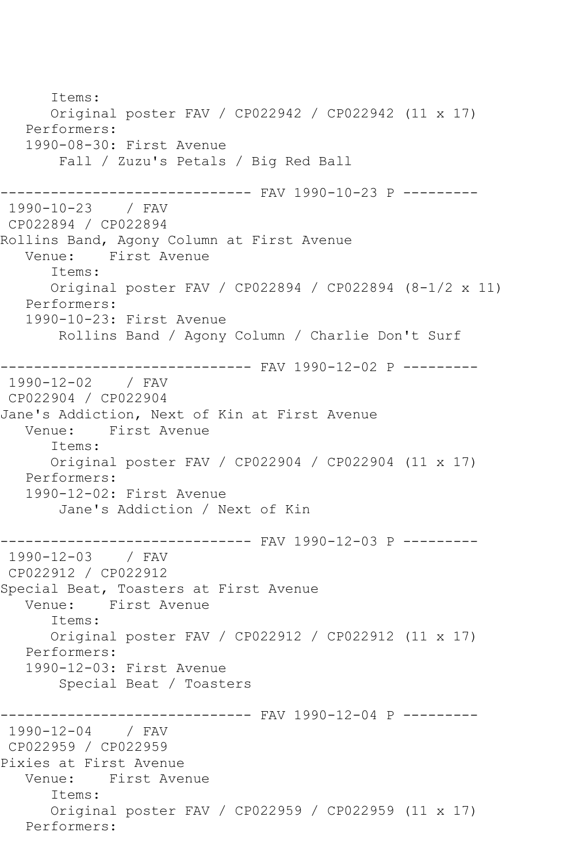Items: Original poster FAV / CP022942 / CP022942 (11 x 17) Performers: 1990-08-30: First Avenue Fall / Zuzu's Petals / Big Red Ball ------------------------------ FAV 1990-10-23 P --------- 1990-10-23 / FAV CP022894 / CP022894 Rollins Band, Agony Column at First Avenue<br>Venue: First Avenue First Avenue Items: Original poster FAV / CP022894 / CP022894 (8-1/2 x 11) Performers: 1990-10-23: First Avenue Rollins Band / Agony Column / Charlie Don't Surf ------------------------------ FAV 1990-12-02 P --------- 1990-12-02 / FAV CP022904 / CP022904 Jane's Addiction, Next of Kin at First Avenue Venue: First Avenue Items: Original poster FAV / CP022904 / CP022904 (11 x 17) Performers: 1990-12-02: First Avenue Jane's Addiction / Next of Kin ------------------------------ FAV 1990-12-03 P --------- 1990-12-03 / FAV CP022912 / CP022912 Special Beat, Toasters at First Avenue Venue: First Avenue Items: Original poster FAV / CP022912 / CP022912 (11 x 17) Performers: 1990-12-03: First Avenue Special Beat / Toasters ------------------------------ FAV 1990-12-04 P --------- 1990-12-04 / FAV CP022959 / CP022959 Pixies at First Avenue Venue: First Avenue Items: Original poster FAV / CP022959 / CP022959 (11 x 17) Performers: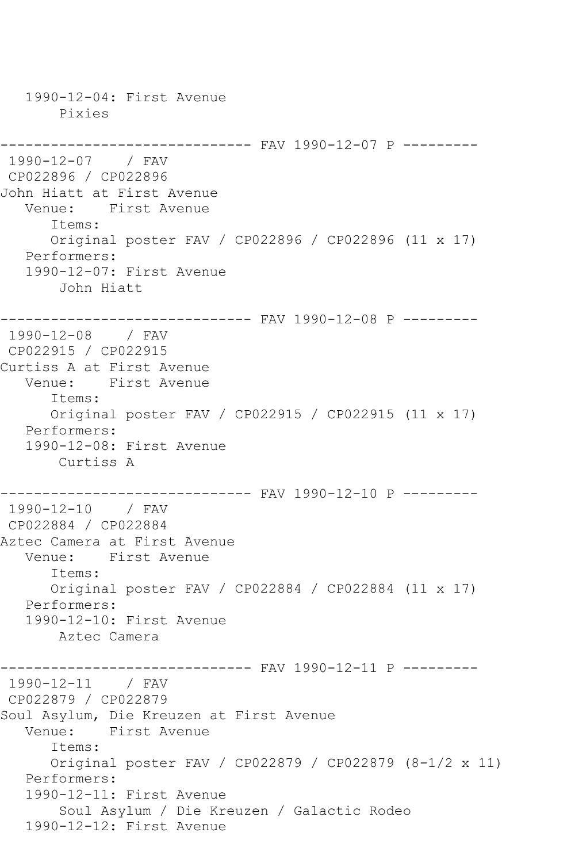1990-12-04: First Avenue Pixies ------------------------------ FAV 1990-12-07 P --------- 1990-12-07 / FAV CP022896 / CP022896 John Hiatt at First Avenue Venue: First Avenue Items: Original poster FAV / CP022896 / CP022896 (11 x 17) Performers: 1990-12-07: First Avenue John Hiatt ------------------------------ FAV 1990-12-08 P --------- 1990-12-08 / FAV CP022915 / CP022915 Curtiss A at First Avenue Venue: First Avenue Items: Original poster FAV / CP022915 / CP022915 (11 x 17) Performers: 1990-12-08: First Avenue Curtiss A ------------------------------ FAV 1990-12-10 P --------- 1990-12-10 / FAV CP022884 / CP022884 Aztec Camera at First Avenue Venue: First Avenue Items: Original poster FAV / CP022884 / CP022884 (11 x 17) Performers: 1990-12-10: First Avenue Aztec Camera ------------------------------ FAV 1990-12-11 P --------- 1990-12-11 / FAV CP022879 / CP022879 Soul Asylum, Die Kreuzen at First Avenue Venue: First Avenue Items: Original poster FAV / CP022879 / CP022879 (8-1/2 x 11) Performers: 1990-12-11: First Avenue Soul Asylum / Die Kreuzen / Galactic Rodeo 1990-12-12: First Avenue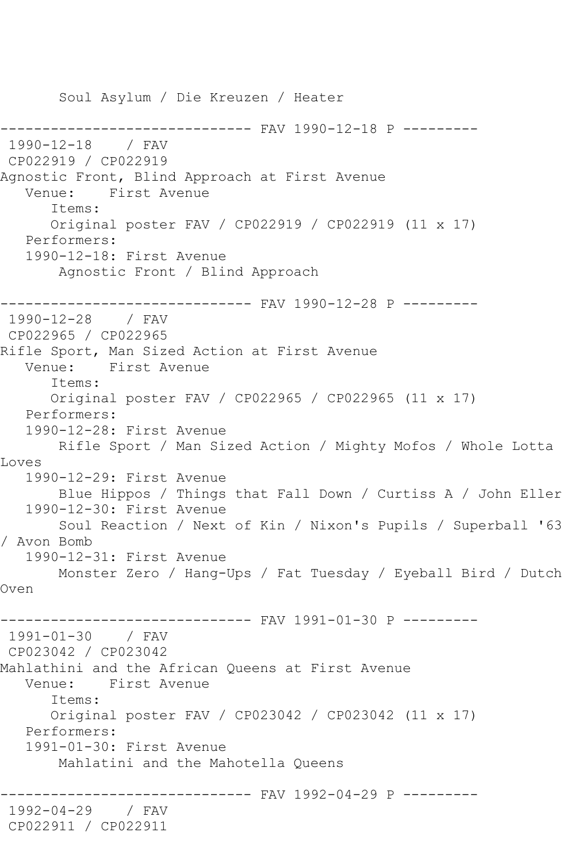Soul Asylum / Die Kreuzen / Heater ------------------------------ FAV 1990-12-18 P --------- 1990-12-18 / FAV CP022919 / CP022919 Agnostic Front, Blind Approach at First Avenue Venue: First Avenue Items: Original poster FAV / CP022919 / CP022919 (11 x 17) Performers: 1990-12-18: First Avenue Agnostic Front / Blind Approach ------------------------------ FAV 1990-12-28 P --------- 1990-12-28 / FAV CP022965 / CP022965 Rifle Sport, Man Sized Action at First Avenue Venue: First Avenue Items: Original poster FAV / CP022965 / CP022965 (11 x 17) Performers: 1990-12-28: First Avenue Rifle Sport / Man Sized Action / Mighty Mofos / Whole Lotta Loves 1990-12-29: First Avenue Blue Hippos / Things that Fall Down / Curtiss A / John Eller 1990-12-30: First Avenue Soul Reaction / Next of Kin / Nixon's Pupils / Superball '63 / Avon Bomb 1990-12-31: First Avenue Monster Zero / Hang-Ups / Fat Tuesday / Eyeball Bird / Dutch Oven ------------------------------ FAV 1991-01-30 P --------- 1991-01-30 / FAV CP023042 / CP023042 Mahlathini and the African Queens at First Avenue Venue: First Avenue Items: Original poster FAV / CP023042 / CP023042 (11 x 17) Performers: 1991-01-30: First Avenue Mahlatini and the Mahotella Queens ------------------------------ FAV 1992-04-29 P --------- 1992-04-29 / FAV CP022911 / CP022911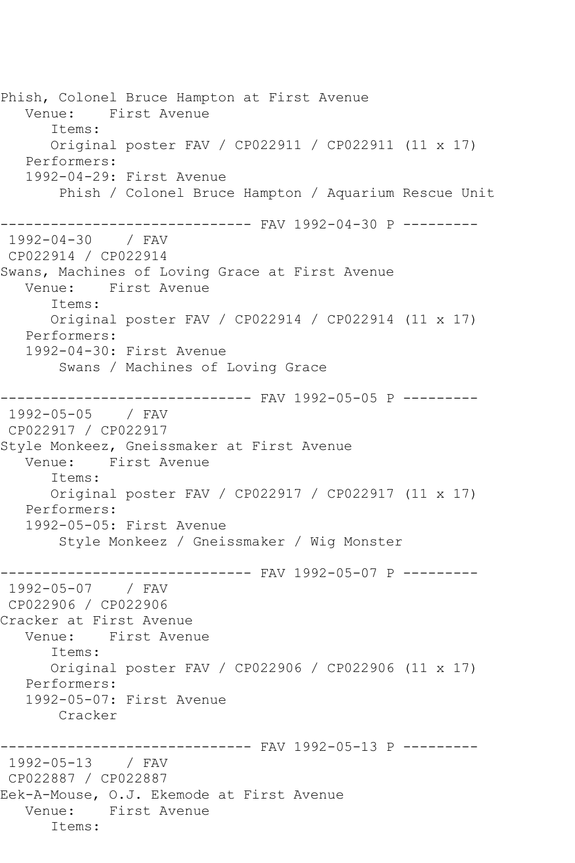Phish, Colonel Bruce Hampton at First Avenue Venue: First Avenue Items: Original poster FAV / CP022911 / CP022911 (11 x 17) Performers: 1992-04-29: First Avenue Phish / Colonel Bruce Hampton / Aquarium Rescue Unit ------------------------------ FAV 1992-04-30 P --------- 1992-04-30 / FAV CP022914 / CP022914 Swans, Machines of Loving Grace at First Avenue Venue: First Avenue Items: Original poster FAV / CP022914 / CP022914 (11 x 17) Performers: 1992-04-30: First Avenue Swans / Machines of Loving Grace -------------------------------- FAV 1992-05-05 P ---------<br>1992-05-05 / FAV  $1992 - 05 - 05$ CP022917 / CP022917 Style Monkeez, Gneissmaker at First Avenue<br>Venue: First Avenue First Avenue Items: Original poster FAV / CP022917 / CP022917 (11 x 17) Performers: 1992-05-05: First Avenue Style Monkeez / Gneissmaker / Wig Monster ------------------------------ FAV 1992-05-07 P --------- 1992-05-07 / FAV CP022906 / CP022906 Cracker at First Avenue Venue: First Avenue Items: Original poster FAV / CP022906 / CP022906 (11 x 17) Performers: 1992-05-07: First Avenue Cracker ------------------------------ FAV 1992-05-13 P --------- 1992-05-13 / FAV CP022887 / CP022887 Eek-A-Mouse, O.J. Ekemode at First Avenue Venue: First Avenue Items: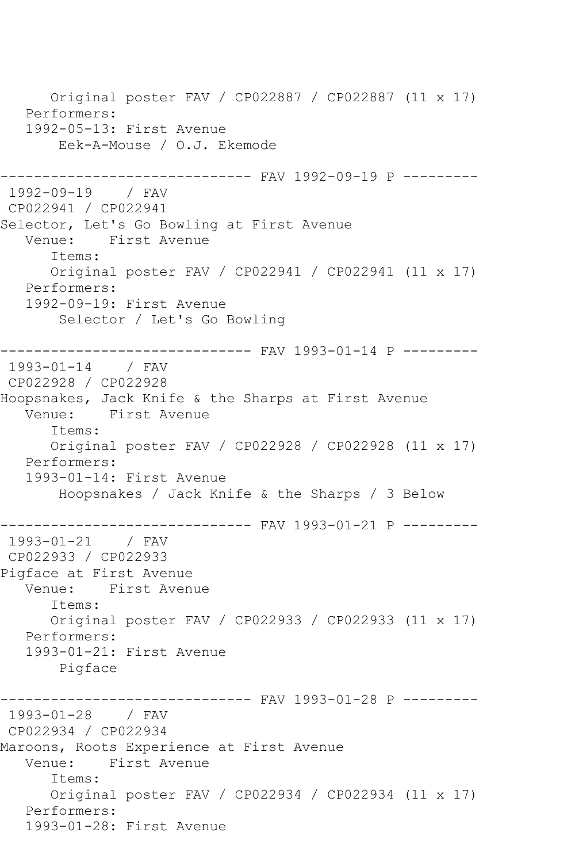Original poster FAV / CP022887 / CP022887 (11 x 17) Performers: 1992-05-13: First Avenue Eek-A-Mouse / O.J. Ekemode ------------------------------ FAV 1992-09-19 P --------- 1992-09-19 / FAV CP022941 / CP022941 Selector, Let's Go Bowling at First Avenue Venue: First Avenue Items: Original poster FAV / CP022941 / CP022941 (11 x 17) Performers: 1992-09-19: First Avenue Selector / Let's Go Bowling ------------------------------ FAV 1993-01-14 P --------- 1993-01-14 / FAV CP022928 / CP022928 Hoopsnakes, Jack Knife & the Sharps at First Avenue Venue: First Avenue Items: Original poster FAV / CP022928 / CP022928 (11 x 17) Performers: 1993-01-14: First Avenue Hoopsnakes / Jack Knife & the Sharps / 3 Below ------------------------------ FAV 1993-01-21 P --------- 1993-01-21 / FAV CP022933 / CP022933 Pigface at First Avenue Venue: First Avenue Items: Original poster FAV / CP022933 / CP022933 (11 x 17) Performers: 1993-01-21: First Avenue Pigface ------------------------------ FAV 1993-01-28 P --------- 1993-01-28 / FAV CP022934 / CP022934 Maroons, Roots Experience at First Avenue Venue: First Avenue Items: Original poster FAV / CP022934 / CP022934 (11 x 17) Performers: 1993-01-28: First Avenue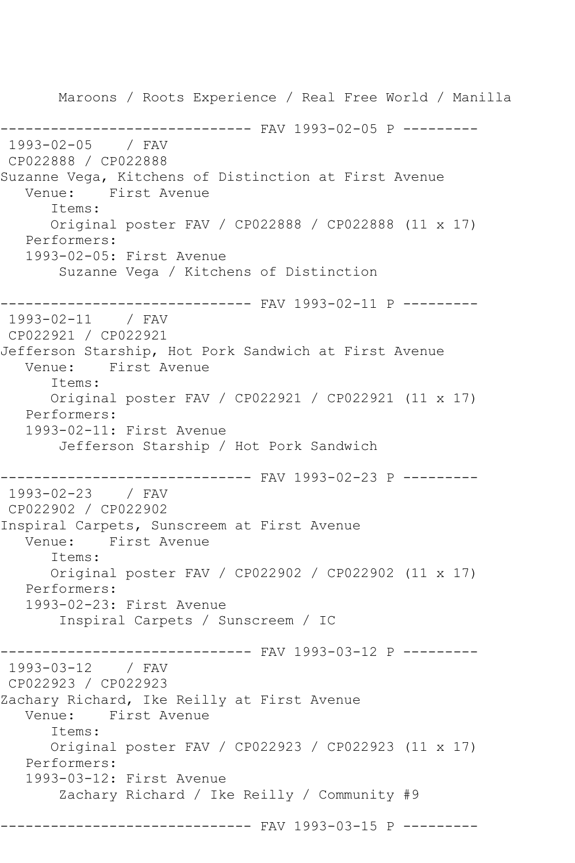Maroons / Roots Experience / Real Free World / Manilla ------------------------------ FAV 1993-02-05 P --------- 1993-02-05 / FAV CP022888 / CP022888 Suzanne Vega, Kitchens of Distinction at First Avenue Venue: First Avenue Items: Original poster FAV / CP022888 / CP022888 (11 x 17) Performers: 1993-02-05: First Avenue Suzanne Vega / Kitchens of Distinction ------------------------------ FAV 1993-02-11 P --------- 1993-02-11 / FAV CP022921 / CP022921 Jefferson Starship, Hot Pork Sandwich at First Avenue Venue: First Avenue Items: Original poster FAV / CP022921 / CP022921 (11 x 17) Performers: 1993-02-11: First Avenue Jefferson Starship / Hot Pork Sandwich ------------------------------ FAV 1993-02-23 P --------- 1993-02-23 / FAV CP022902 / CP022902 Inspiral Carpets, Sunscreem at First Avenue Venue: First Avenue Items: Original poster FAV / CP022902 / CP022902 (11 x 17) Performers: 1993-02-23: First Avenue Inspiral Carpets / Sunscreem / IC ------------------------------ FAV 1993-03-12 P --------- 1993-03-12 / FAV CP022923 / CP022923 Zachary Richard, Ike Reilly at First Avenue Venue: First Avenue Items: Original poster FAV / CP022923 / CP022923 (11 x 17) Performers: 1993-03-12: First Avenue Zachary Richard / Ike Reilly / Community #9 ------------------------------ FAV 1993-03-15 P ---------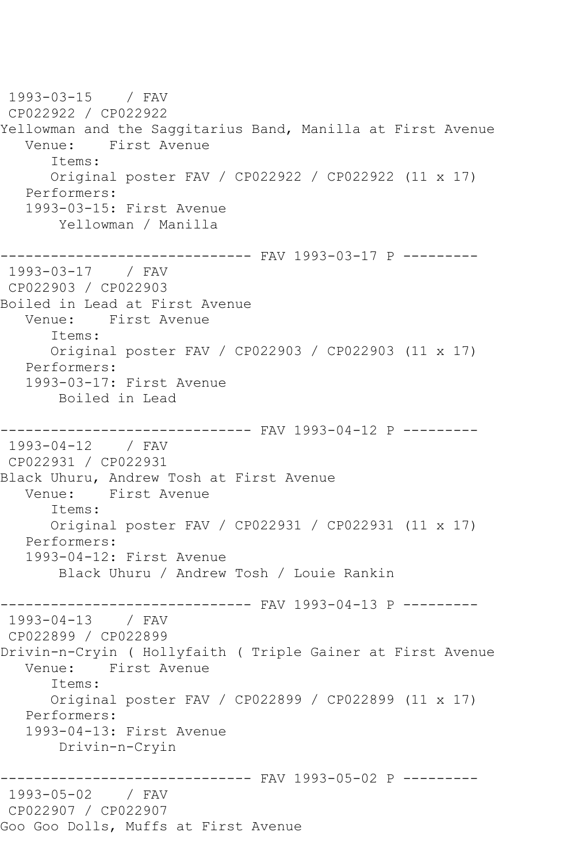1993-03-15 / FAV CP022922 / CP022922 Yellowman and the Saggitarius Band, Manilla at First Avenue Venue: First Avenue Items: Original poster FAV / CP022922 / CP022922 (11 x 17) Performers: 1993-03-15: First Avenue Yellowman / Manilla ------------------------------ FAV 1993-03-17 P --------- 1993-03-17 / FAV CP022903 / CP022903 Boiled in Lead at First Avenue Venue: First Avenue Items: Original poster FAV / CP022903 / CP022903 (11 x 17) Performers: 1993-03-17: First Avenue Boiled in Lead ------------------------------ FAV 1993-04-12 P --------- 1993-04-12 / FAV CP022931 / CP022931 Black Uhuru, Andrew Tosh at First Avenue Venue: First Avenue Items: Original poster FAV / CP022931 / CP022931 (11 x 17) Performers: 1993-04-12: First Avenue Black Uhuru / Andrew Tosh / Louie Rankin ------------------------------- FAV 1993-04-13 P ---------<br>1993-04-13 / FAV  $1993 - 04 - 13$ CP022899 / CP022899 Drivin-n-Cryin ( Hollyfaith ( Triple Gainer at First Avenue<br>Venue: First Avenue First Avenue Items: Original poster FAV / CP022899 / CP022899 (11 x 17) Performers: 1993-04-13: First Avenue Drivin-n-Cryin ------------------------------ FAV 1993-05-02 P --------- 1993-05-02 / FAV CP022907 / CP022907 Goo Goo Dolls, Muffs at First Avenue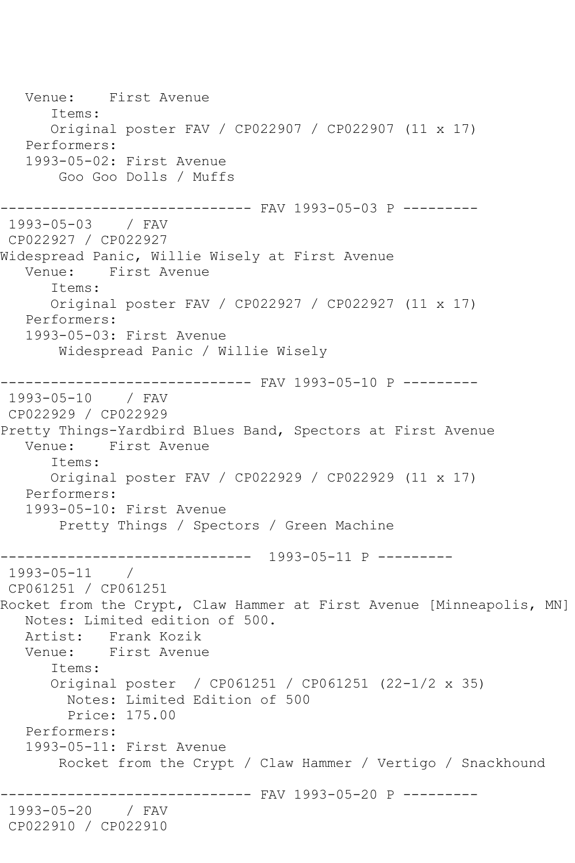Venue: First Avenue Items: Original poster FAV / CP022907 / CP022907 (11 x 17) Performers: 1993-05-02: First Avenue Goo Goo Dolls / Muffs ------------------------------ FAV 1993-05-03 P --------- 1993-05-03 / FAV CP022927 / CP022927 Widespread Panic, Willie Wisely at First Avenue Venue: First Avenue Items: Original poster FAV / CP022927 / CP022927 (11 x 17) Performers: 1993-05-03: First Avenue Widespread Panic / Willie Wisely  $---------$  FAV 1993-05-10 P  $------$ 1993-05-10 / FAV CP022929 / CP022929 Pretty Things-Yardbird Blues Band, Spectors at First Avenue Venue: First Avenue Items: Original poster FAV / CP022929 / CP022929 (11 x 17) Performers: 1993-05-10: First Avenue Pretty Things / Spectors / Green Machine ------------------------------ 1993-05-11 P --------- 1993-05-11 / CP061251 / CP061251 Rocket from the Crypt, Claw Hammer at First Avenue [Minneapolis, MN] Notes: Limited edition of 500.<br>Artist: Frank Kozik Frank Kozik Venue: First Avenue Items: Original poster / CP061251 / CP061251 (22-1/2 x 35) Notes: Limited Edition of 500 Price: 175.00 Performers: 1993-05-11: First Avenue Rocket from the Crypt / Claw Hammer / Vertigo / Snackhound ------------------------------ FAV 1993-05-20 P --------- 1993-05-20 / FAV CP022910 / CP022910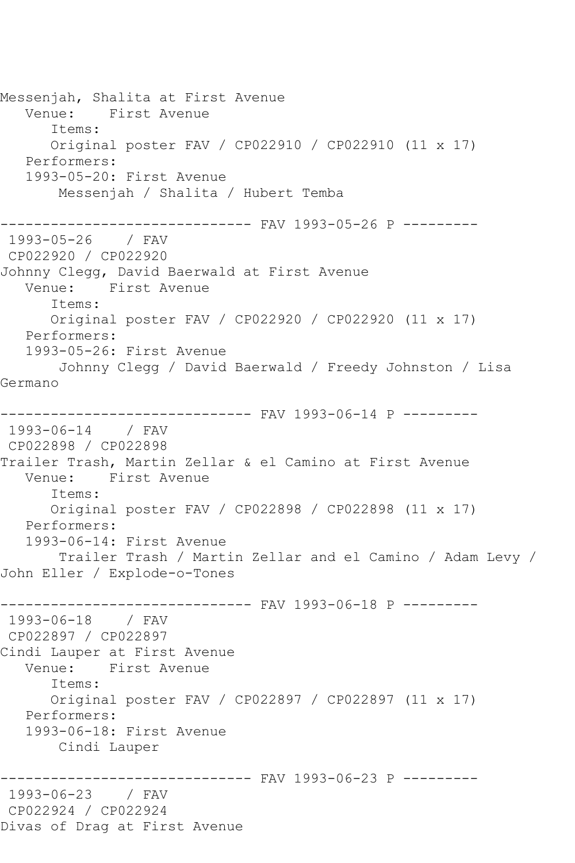Messenjah, Shalita at First Avenue<br>Venue: First Avenue First Avenue Items: Original poster FAV / CP022910 / CP022910 (11 x 17) Performers: 1993-05-20: First Avenue Messenjah / Shalita / Hubert Temba ------------------------------ FAV 1993-05-26 P --------- 1993-05-26 / FAV CP022920 / CP022920 Johnny Clegg, David Baerwald at First Avenue Venue: First Avenue Items: Original poster FAV / CP022920 / CP022920 (11 x 17) Performers: 1993-05-26: First Avenue Johnny Clegg / David Baerwald / Freedy Johnston / Lisa Germano ------------------------------ FAV 1993-06-14 P --------- 1993-06-14 / FAV CP022898 / CP022898 Trailer Trash, Martin Zellar & el Camino at First Avenue Venue: First Avenue Items: Original poster FAV / CP022898 / CP022898 (11 x 17) Performers: 1993-06-14: First Avenue Trailer Trash / Martin Zellar and el Camino / Adam Levy / John Eller / Explode-o-Tones ------------------------------ FAV 1993-06-18 P --------- 1993-06-18 / FAV CP022897 / CP022897 Cindi Lauper at First Avenue First Avenue Items: Original poster FAV / CP022897 / CP022897 (11 x 17) Performers: 1993-06-18: First Avenue Cindi Lauper ----------- FAV 1993-06-23 P ---------1993-06-23 / FAV CP022924 / CP022924 Divas of Drag at First Avenue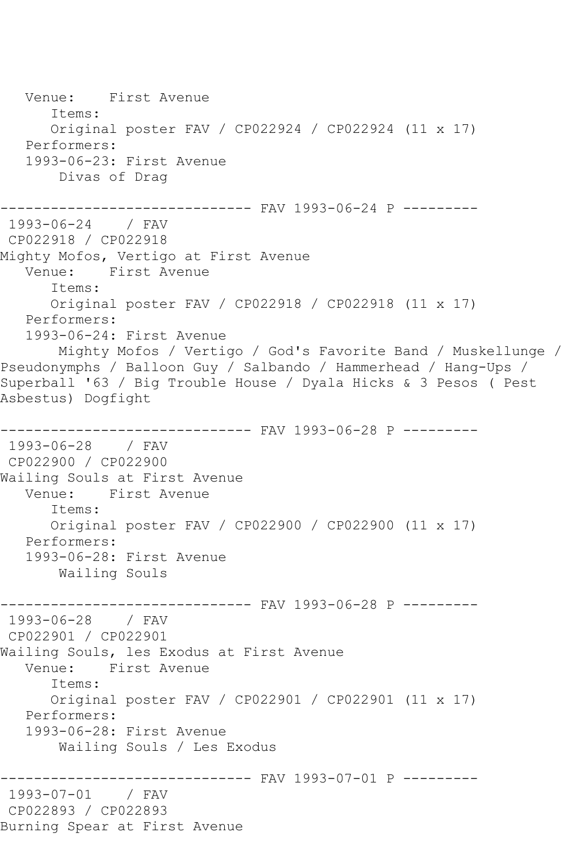Venue: First Avenue Items: Original poster FAV / CP022924 / CP022924 (11 x 17) Performers: 1993-06-23: First Avenue Divas of Drag ------------------------------ FAV 1993-06-24 P --------- 1993-06-24 / FAV CP022918 / CP022918 Mighty Mofos, Vertigo at First Avenue Venue: First Avenue Items: Original poster FAV / CP022918 / CP022918 (11 x 17) Performers: 1993-06-24: First Avenue Mighty Mofos / Vertigo / God's Favorite Band / Muskellunge / Pseudonymphs / Balloon Guy / Salbando / Hammerhead / Hang-Ups / Superball '63 / Big Trouble House / Dyala Hicks & 3 Pesos ( Pest Asbestus) Dogfight ------------ FAV 1993-06-28 P ---------1993-06-28 / FAV CP022900 / CP022900 Wailing Souls at First Avenue Venue: First Avenue Items: Original poster FAV / CP022900 / CP022900 (11 x 17) Performers: 1993-06-28: First Avenue Wailing Souls ------------------------------- FAV 1993-06-28 P ---------<br>1993-06-28 / FAV  $1993 - 06 - 28$ CP022901 / CP022901 Wailing Souls, les Exodus at First Avenue<br>Venue: First Avenue First Avenue Items: Original poster FAV / CP022901 / CP022901 (11 x 17) Performers: 1993-06-28: First Avenue Wailing Souls / Les Exodus ------------------------------ FAV 1993-07-01 P --------- 1993-07-01 / FAV CP022893 / CP022893 Burning Spear at First Avenue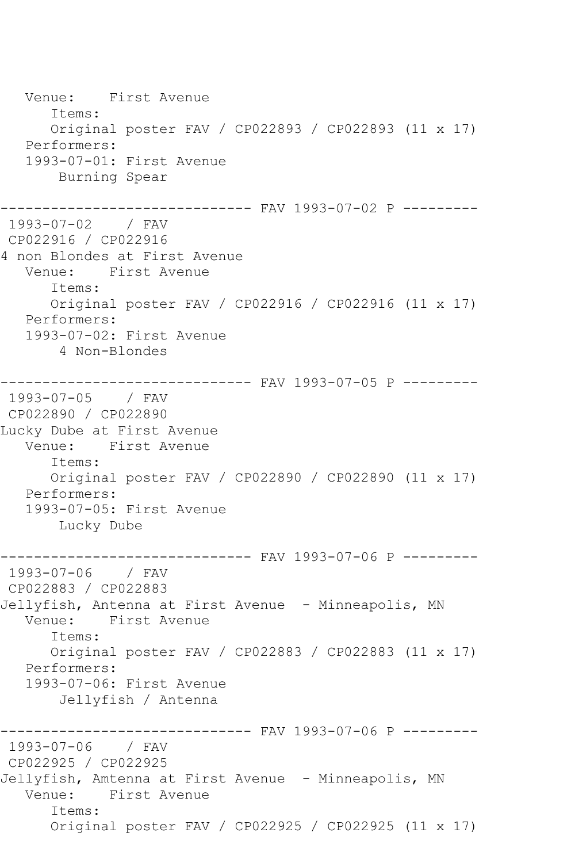Venue: First Avenue Items: Original poster FAV / CP022893 / CP022893 (11 x 17) Performers: 1993-07-01: First Avenue Burning Spear ------------------------------ FAV 1993-07-02 P --------- 1993-07-02 / FAV CP022916 / CP022916 4 non Blondes at First Avenue Venue: First Avenue Items: Original poster FAV / CP022916 / CP022916 (11 x 17) Performers: 1993-07-02: First Avenue 4 Non-Blondes ------------------------------ FAV 1993-07-05 P --------- 1993-07-05 / FAV CP022890 / CP022890 Lucky Dube at First Avenue Venue: First Avenue Items: Original poster FAV / CP022890 / CP022890 (11 x 17) Performers: 1993-07-05: First Avenue Lucky Dube ------------------------------ FAV 1993-07-06 P --------- 1993-07-06 / FAV CP022883 / CP022883 Jellyfish, Antenna at First Avenue - Minneapolis, MN<br>Venue: First Avenue First Avenue Items: Original poster FAV / CP022883 / CP022883 (11 x 17) Performers: 1993-07-06: First Avenue Jellyfish / Antenna ------------------------------ FAV 1993-07-06 P --------- 1993-07-06 / FAV CP022925 / CP022925 Jellyfish, Amtenna at First Avenue - Minneapolis, MN Venue: First Avenue Items: Original poster FAV / CP022925 / CP022925 (11 x 17)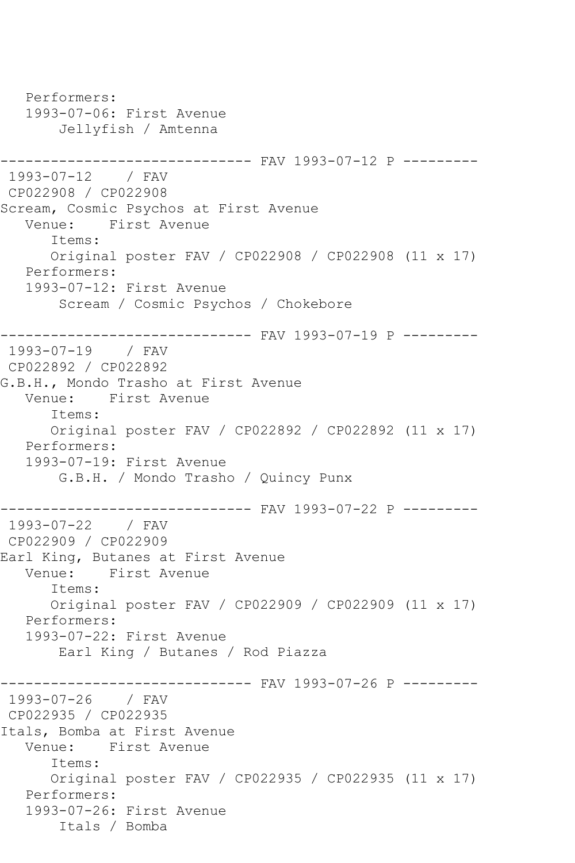Performers: 1993-07-06: First Avenue Jellyfish / Amtenna ------------------------------ FAV 1993-07-12 P --------- 1993-07-12 / FAV CP022908 / CP022908 Scream, Cosmic Psychos at First Avenue Venue: First Avenue Items: Original poster FAV / CP022908 / CP022908 (11 x 17) Performers: 1993-07-12: First Avenue Scream / Cosmic Psychos / Chokebore ------------------------------ FAV 1993-07-19 P --------- 1993-07-19 / FAV CP022892 / CP022892 G.B.H., Mondo Trasho at First Avenue Venue: First Avenue Items: Original poster FAV / CP022892 / CP022892 (11 x 17) Performers: 1993-07-19: First Avenue G.B.H. / Mondo Trasho / Quincy Punx ------------------------------ FAV 1993-07-22 P --------- 1993-07-22 / FAV CP022909 / CP022909 Earl King, Butanes at First Avenue<br>Venue: First Avenue First Avenue Items: Original poster FAV / CP022909 / CP022909 (11 x 17) Performers: 1993-07-22: First Avenue Earl King / Butanes / Rod Piazza ---------- FAV 1993-07-26 P ---------1993-07-26 / FAV CP022935 / CP022935 Itals, Bomba at First Avenue Venue: First Avenue Items: Original poster FAV / CP022935 / CP022935 (11 x 17) Performers: 1993-07-26: First Avenue Itals / Bomba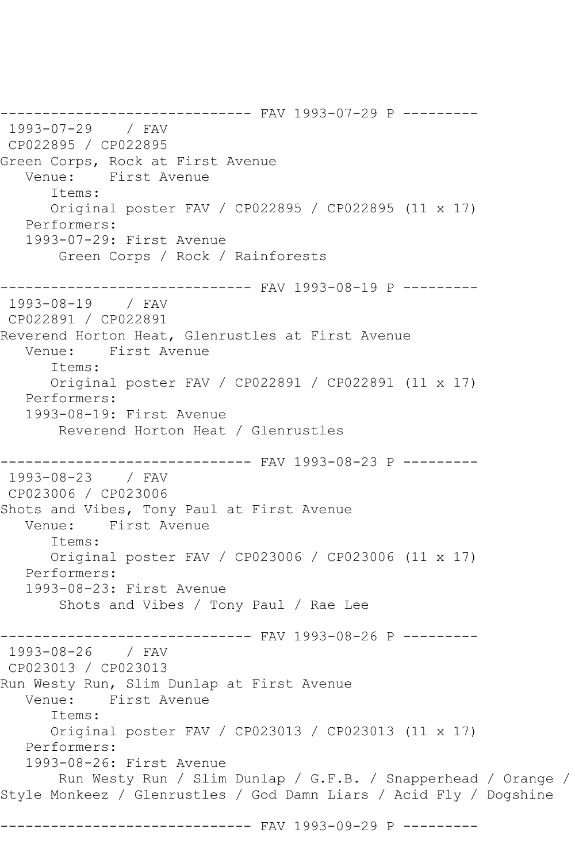------------------------------ FAV 1993-07-29 P --------- 1993-07-29 / FAV CP022895 / CP022895 Green Corps, Rock at First Avenue Venue: First Avenue Items: Original poster FAV / CP022895 / CP022895 (11 x 17) Performers: 1993-07-29: First Avenue Green Corps / Rock / Rainforests ------------------------------ FAV 1993-08-19 P --------- 1993-08-19 / FAV CP022891 / CP022891 Reverend Horton Heat, Glenrustles at First Avenue Venue: First Avenue Items: Original poster FAV / CP022891 / CP022891 (11 x 17) Performers: 1993-08-19: First Avenue Reverend Horton Heat / Glenrustles ------------------------------ FAV 1993-08-23 P --------- 1993-08-23 / FAV CP023006 / CP023006 Shots and Vibes, Tony Paul at First Avenue Venue: First Avenue Items: Original poster FAV / CP023006 / CP023006 (11 x 17) Performers: 1993-08-23: First Avenue Shots and Vibes / Tony Paul / Rae Lee ------------------------------ FAV 1993-08-26 P --------- 1993-08-26 / FAV CP023013 / CP023013 Run Westy Run, Slim Dunlap at First Avenue Venue: First Avenue Items: Original poster FAV / CP023013 / CP023013 (11 x 17) Performers: 1993-08-26: First Avenue Run Westy Run / Slim Dunlap / G.F.B. / Snapperhead / Orange / Style Monkeez / Glenrustles / God Damn Liars / Acid Fly / Dogshine ------------------------------ FAV 1993-09-29 P ---------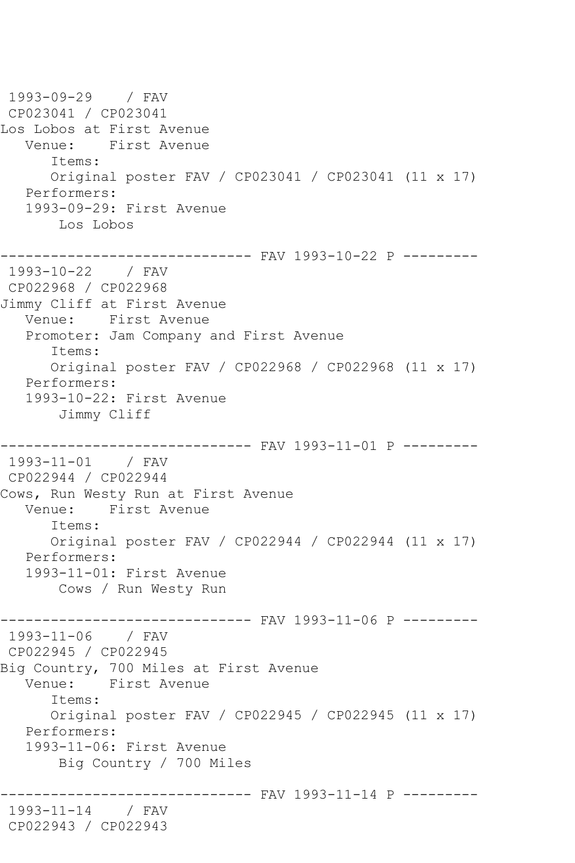1993-09-29 / FAV CP023041 / CP023041 Los Lobos at First Avenue Venue: First Avenue Items: Original poster FAV / CP023041 / CP023041 (11 x 17) Performers: 1993-09-29: First Avenue Los Lobos ------------------------------ FAV 1993-10-22 P --------- 1993-10-22 / FAV CP022968 / CP022968 Jimmy Cliff at First Avenue Venue: First Avenue Promoter: Jam Company and First Avenue Items: Original poster FAV / CP022968 / CP022968 (11 x 17) Performers: 1993-10-22: First Avenue Jimmy Cliff ------------------------------ FAV 1993-11-01 P --------- 1993-11-01 / FAV CP022944 / CP022944 Cows, Run Westy Run at First Avenue<br>Venue: First Avenue First Avenue Items: Original poster FAV / CP022944 / CP022944 (11 x 17) Performers: 1993-11-01: First Avenue Cows / Run Westy Run ------------------------------ FAV 1993-11-06 P --------- 1993-11-06 / FAV CP022945 / CP022945 Big Country, 700 Miles at First Avenue Venue: First Avenue Items: Original poster FAV / CP022945 / CP022945 (11 x 17) Performers: 1993-11-06: First Avenue Big Country / 700 Miles ---------- FAV 1993-11-14 P ---------1993-11-14 / FAV CP022943 / CP022943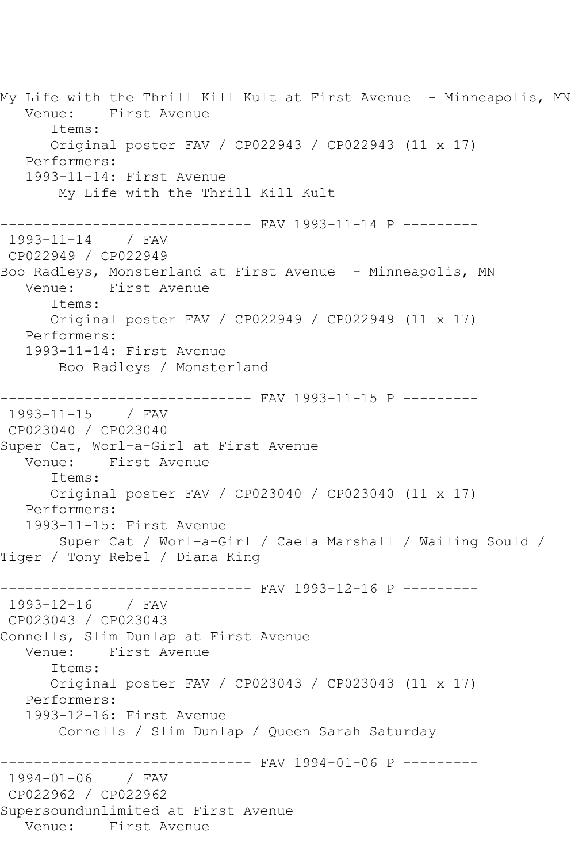My Life with the Thrill Kill Kult at First Avenue - Minneapolis, MN Venue: First Avenue Items: Original poster FAV / CP022943 / CP022943 (11 x 17) Performers: 1993-11-14: First Avenue My Life with the Thrill Kill Kult ------------------------------ FAV 1993-11-14 P --------- 1993-11-14 / FAV CP022949 / CP022949 Boo Radleys, Monsterland at First Avenue - Minneapolis, MN Venue: First Avenue Items: Original poster FAV / CP022949 / CP022949 (11 x 17) Performers: 1993-11-14: First Avenue Boo Radleys / Monsterland ------------------------------ FAV 1993-11-15 P --------- 1993-11-15 / FAV CP023040 / CP023040 Super Cat, Worl-a-Girl at First Avenue<br>Venue: First Avenue First Avenue Items: Original poster FAV / CP023040 / CP023040 (11 x 17) Performers: 1993-11-15: First Avenue Super Cat / Worl-a-Girl / Caela Marshall / Wailing Sould / Tiger / Tony Rebel / Diana King ------------------------------ FAV 1993-12-16 P --------- 1993-12-16 / FAV CP023043 / CP023043 Connells, Slim Dunlap at First Avenue Venue: First Avenue Items: Original poster FAV / CP023043 / CP023043 (11 x 17) Performers: 1993-12-16: First Avenue Connells / Slim Dunlap / Queen Sarah Saturday ------------------------------ FAV 1994-01-06 P --------- 1994-01-06 / FAV CP022962 / CP022962 Supersoundunlimited at First Avenue Venue: First Avenue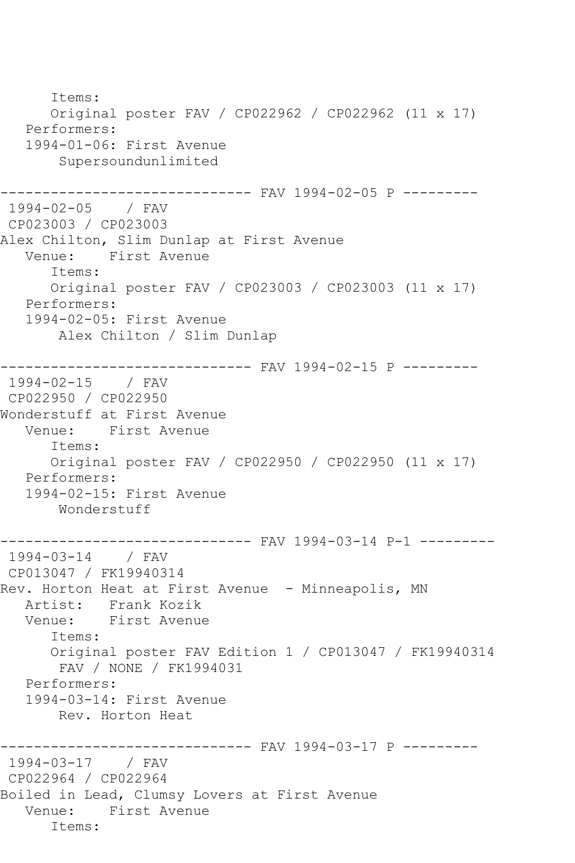Items: Original poster FAV / CP022962 / CP022962 (11 x 17) Performers: 1994-01-06: First Avenue Supersoundunlimited ------------------------------ FAV 1994-02-05 P --------- 1994-02-05 / FAV CP023003 / CP023003 Alex Chilton, Slim Dunlap at First Avenue<br>Venue: First Avenue First Avenue Items: Original poster FAV / CP023003 / CP023003 (11 x 17) Performers: 1994-02-05: First Avenue Alex Chilton / Slim Dunlap ------------------------------ FAV 1994-02-15 P --------- 1994-02-15 / FAV CP022950 / CP022950 Wonderstuff at First Avenue Venue: First Avenue Items: Original poster FAV / CP022950 / CP022950 (11 x 17) Performers: 1994-02-15: First Avenue Wonderstuff ------------------------------ FAV 1994-03-14 P-1 --------- 1994-03-14 / FAV CP013047 / FK19940314 Rev. Horton Heat at First Avenue - Minneapolis, MN Artist: Frank Kozik<br>Venue: First Avenue First Avenue Items: Original poster FAV Edition 1 / CP013047 / FK19940314 FAV / NONE / FK1994031 Performers: 1994-03-14: First Avenue Rev. Horton Heat ------------------------------ FAV 1994-03-17 P --------- 1994-03-17 / FAV CP022964 / CP022964 Boiled in Lead, Clumsy Lovers at First Avenue Venue: First Avenue Items: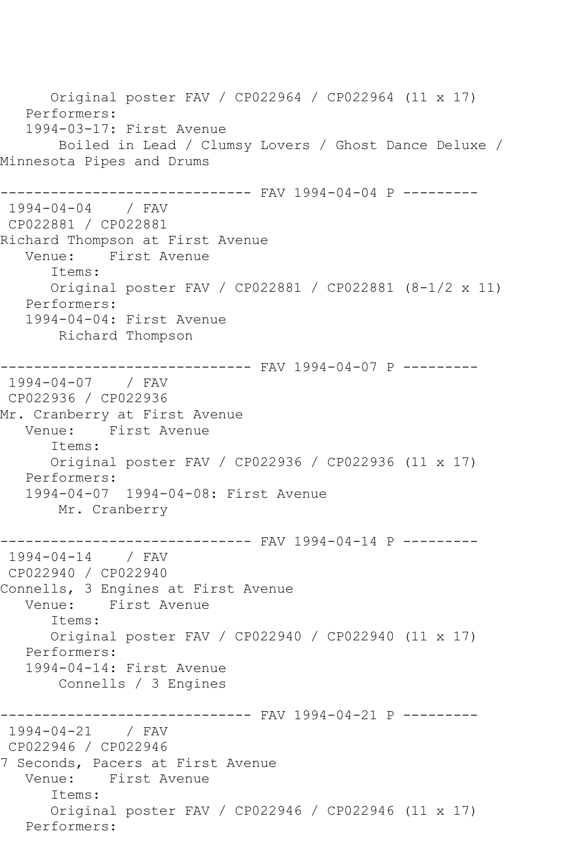Original poster FAV / CP022964 / CP022964 (11 x 17) Performers: 1994-03-17: First Avenue Boiled in Lead / Clumsy Lovers / Ghost Dance Deluxe / Minnesota Pipes and Drums ------------------------------ FAV 1994-04-04 P --------- 1994-04-04 / FAV CP022881 / CP022881 Richard Thompson at First Avenue<br>Venue: First Avenue First Avenue Items: Original poster FAV / CP022881 / CP022881 (8-1/2 x 11) Performers: 1994-04-04: First Avenue Richard Thompson ------------------------------ FAV 1994-04-07 P --------- 1994-04-07 / FAV CP022936 / CP022936 Mr. Cranberry at First Avenue<br>Venue: First Avenue First Avenue Items: Original poster FAV / CP022936 / CP022936 (11 x 17) Performers: 1994-04-07 1994-04-08: First Avenue Mr. Cranberry ------------------------------ FAV 1994-04-14 P --------- 1994-04-14 / FAV CP022940 / CP022940 Connells, 3 Engines at First Avenue<br>Venue: First Avenue First Avenue Items: Original poster FAV / CP022940 / CP022940 (11 x 17) Performers: 1994-04-14: First Avenue Connells / 3 Engines ------------------------------ FAV 1994-04-21 P --------- 1994-04-21 / FAV CP022946 / CP022946 7 Seconds, Pacers at First Avenue Venue: First Avenue Items: Original poster FAV / CP022946 / CP022946 (11 x 17) Performers: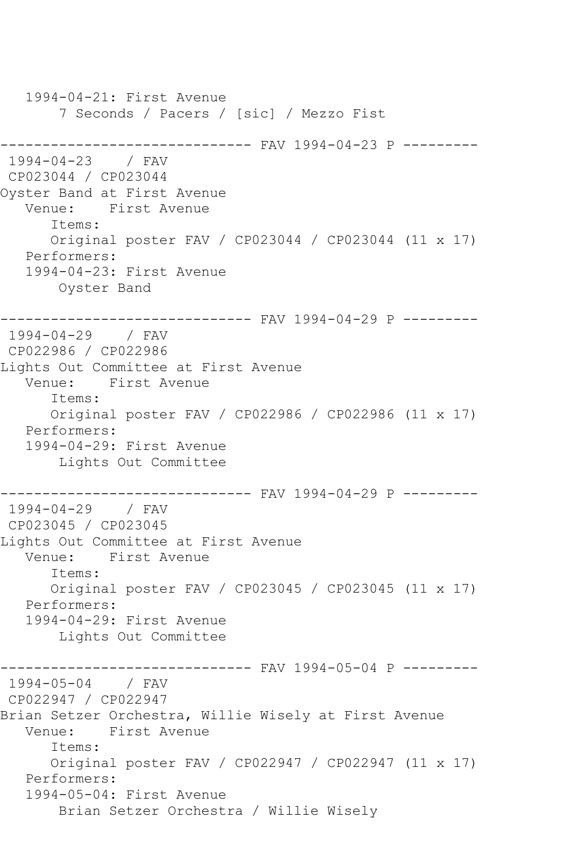1994-04-21: First Avenue 7 Seconds / Pacers / [sic] / Mezzo Fist -------------------------------- FAV 1994-04-23 P ---------<br>1994-04-23 / FAV  $1994 - 04 - 23$ CP023044 / CP023044 Oyster Band at First Avenue Venue: First Avenue Items: Original poster FAV / CP023044 / CP023044 (11 x 17) Performers: 1994-04-23: First Avenue Oyster Band ------------------------------ FAV 1994-04-29 P --------- 1994-04-29 / FAV CP022986 / CP022986 Lights Out Committee at First Avenue Venue: First Avenue Items: Original poster FAV / CP022986 / CP022986 (11 x 17) Performers: 1994-04-29: First Avenue Lights Out Committee ------------------------------ FAV 1994-04-29 P --------- 1994-04-29 / FAV CP023045 / CP023045 Lights Out Committee at First Avenue Venue: First Avenue Items: Original poster FAV / CP023045 / CP023045 (11 x 17) Performers: 1994-04-29: First Avenue Lights Out Committee ------------------------------ FAV 1994-05-04 P --------- 1994-05-04 / FAV CP022947 / CP022947 Brian Setzer Orchestra, Willie Wisely at First Avenue Venue: First Avenue Items: Original poster FAV / CP022947 / CP022947 (11 x 17) Performers: 1994-05-04: First Avenue Brian Setzer Orchestra / Willie Wisely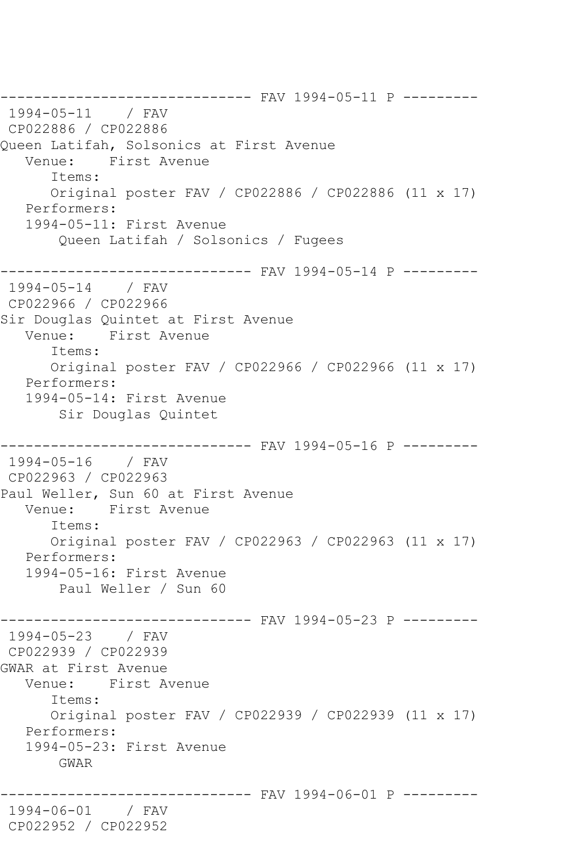-------------------------------- FAV 1994-05-11 P ---------<br>1994-05-11 / FAV  $1994 - 05 - 11$ CP022886 / CP022886 Queen Latifah, Solsonics at First Avenue Venue: First Avenue Items: Original poster FAV / CP022886 / CP022886 (11 x 17) Performers: 1994-05-11: First Avenue Queen Latifah / Solsonics / Fugees ------------------------------ FAV 1994-05-14 P ---------  $1994 - 05 - 14$ CP022966 / CP022966 Sir Douglas Quintet at First Avenue Venue: First Avenue Items: Original poster FAV / CP022966 / CP022966 (11 x 17) Performers: 1994-05-14: First Avenue Sir Douglas Quintet ------------------------------ FAV 1994-05-16 P --------- 1994-05-16 / FAV CP022963 / CP022963 Paul Weller, Sun 60 at First Avenue<br>Venue: First Avenue First Avenue Items: Original poster FAV / CP022963 / CP022963 (11 x 17) Performers: 1994-05-16: First Avenue Paul Weller / Sun 60 ------------------------------ FAV 1994-05-23 P --------- 1994-05-23 / FAV CP022939 / CP022939 GWAR at First Avenue Venue: First Avenue Items: Original poster FAV / CP022939 / CP022939 (11 x 17) Performers: 1994-05-23: First Avenue GWAR ------------------------------ FAV 1994-06-01 P --------- 1994-06-01 / FAV CP022952 / CP022952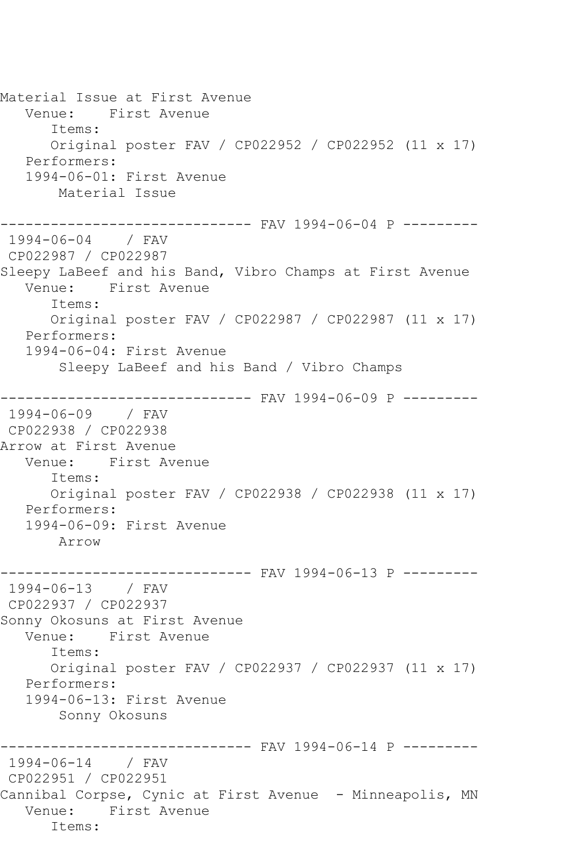Material Issue at First Avenue Venue: First Avenue Items: Original poster FAV / CP022952 / CP022952 (11 x 17) Performers: 1994-06-01: First Avenue Material Issue ------------------------------ FAV 1994-06-04 P --------- 1994-06-04 / FAV CP022987 / CP022987 Sleepy LaBeef and his Band, Vibro Champs at First Avenue Venue: First Avenue Items: Original poster FAV / CP022987 / CP022987 (11 x 17) Performers: 1994-06-04: First Avenue Sleepy LaBeef and his Band / Vibro Champs ------------------------------ FAV 1994-06-09 P --------- 1994-06-09 / FAV CP022938 / CP022938 Arrow at First Avenue<br>Venue: First Av First Avenue Items: Original poster FAV / CP022938 / CP022938 (11 x 17) Performers: 1994-06-09: First Avenue Arrow ------------------------------ FAV 1994-06-13 P --------- 1994-06-13 / FAV CP022937 / CP022937 Sonny Okosuns at First Avenue Venue: First Avenue Items: Original poster FAV / CP022937 / CP022937 (11 x 17) Performers: 1994-06-13: First Avenue Sonny Okosuns ------------------------------ FAV 1994-06-14 P --------- 1994-06-14 / FAV CP022951 / CP022951 Cannibal Corpse, Cynic at First Avenue - Minneapolis, MN Venue: First Avenue Items: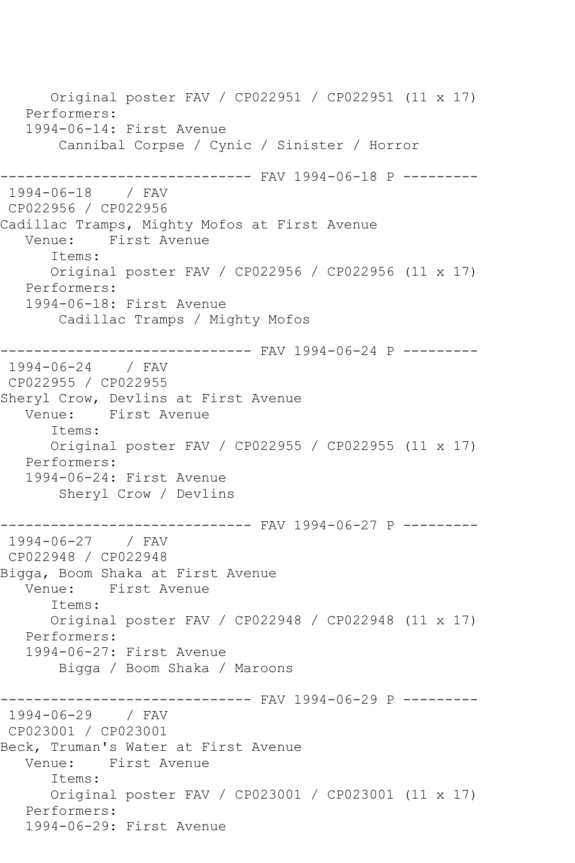Original poster FAV / CP022951 / CP022951 (11 x 17) Performers: 1994-06-14: First Avenue Cannibal Corpse / Cynic / Sinister / Horror ------------------------------ FAV 1994-06-18 P --------- 1994-06-18 / FAV CP022956 / CP022956 Cadillac Tramps, Mighty Mofos at First Avenue Venue: First Avenue Items: Original poster FAV / CP022956 / CP022956 (11 x 17) Performers: 1994-06-18: First Avenue Cadillac Tramps / Mighty Mofos ------------------------------ FAV 1994-06-24 P --------- 1994-06-24 / FAV CP022955 / CP022955 Sheryl Crow, Devlins at First Avenue<br>Venue: First Avenue First Avenue Items: Original poster FAV / CP022955 / CP022955 (11 x 17) Performers: 1994-06-24: First Avenue Sheryl Crow / Devlins ------------------------------ FAV 1994-06-27 P --------- 1994-06-27 CP022948 / CP022948 Bigga, Boom Shaka at First Avenue Venue: First Avenue Items: Original poster FAV / CP022948 / CP022948 (11 x 17) Performers: 1994-06-27: First Avenue Bigga / Boom Shaka / Maroons ------------------------------ FAV 1994-06-29 P --------- 1994-06-29 / FAV CP023001 / CP023001 Beck, Truman's Water at First Avenue Venue: First Avenue Items: Original poster FAV / CP023001 / CP023001 (11 x 17) Performers: 1994-06-29: First Avenue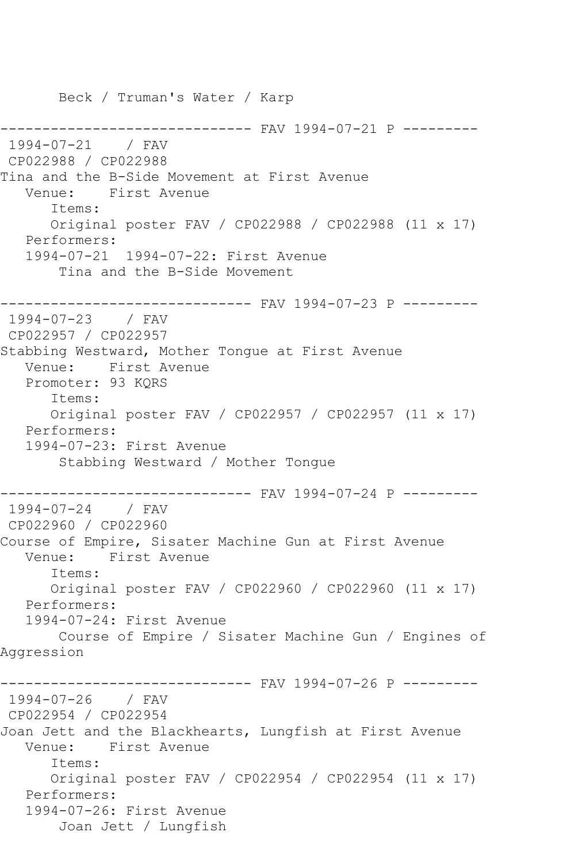Beck / Truman's Water / Karp ------------------------------ FAV 1994-07-21 P --------- 1994-07-21 / FAV CP022988 / CP022988 Tina and the B-Side Movement at First Avenue Venue: First Avenue Items: Original poster FAV / CP022988 / CP022988 (11 x 17) Performers: 1994-07-21 1994-07-22: First Avenue Tina and the B-Side Movement ------------------------------ FAV 1994-07-23 P --------- 1994-07-23 / FAV CP022957 / CP022957 Stabbing Westward, Mother Tongue at First Avenue Venue: First Avenue Promoter: 93 KQRS Items: Original poster FAV / CP022957 / CP022957 (11 x 17) Performers: 1994-07-23: First Avenue Stabbing Westward / Mother Tongue ------------------------------ FAV 1994-07-24 P --------- 1994-07-24 / FAV CP022960 / CP022960 Course of Empire, Sisater Machine Gun at First Avenue Venue: First Avenue Items: Original poster FAV / CP022960 / CP022960 (11 x 17) Performers: 1994-07-24: First Avenue Course of Empire / Sisater Machine Gun / Engines of Aggression ------------------------------ FAV 1994-07-26 P --------- 1994-07-26 / FAV CP022954 / CP022954 Joan Jett and the Blackhearts, Lungfish at First Avenue Venue: First Avenue Items: Original poster FAV / CP022954 / CP022954 (11 x 17) Performers: 1994-07-26: First Avenue Joan Jett / Lungfish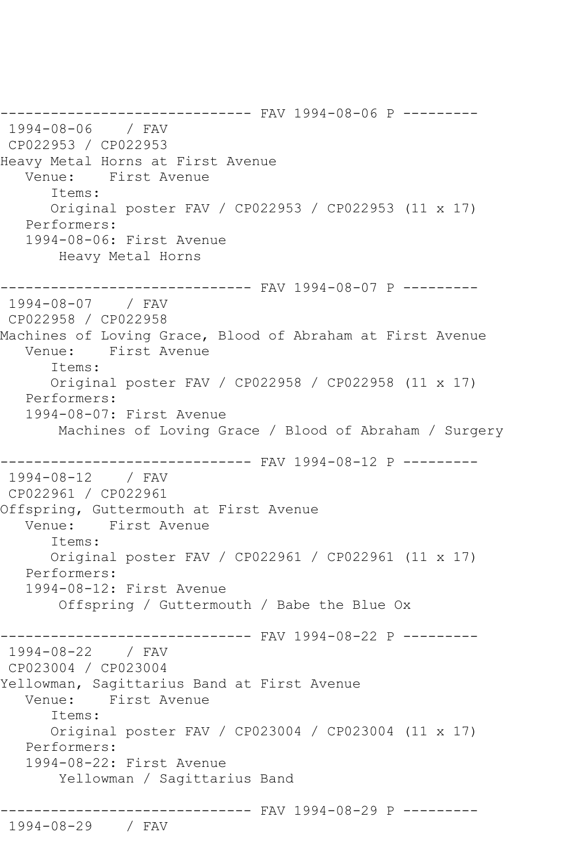------------------------------ FAV 1994-08-06 P --------- 1994-08-06 / FAV CP022953 / CP022953 Heavy Metal Horns at First Avenue Venue: First Avenue Items: Original poster FAV / CP022953 / CP022953 (11 x 17) Performers: 1994-08-06: First Avenue Heavy Metal Horns ------------------------------ FAV 1994-08-07 P --------- 1994-08-07 / FAV CP022958 / CP022958 Machines of Loving Grace, Blood of Abraham at First Avenue Venue: First Avenue Items: Original poster FAV / CP022958 / CP022958 (11 x 17) Performers: 1994-08-07: First Avenue Machines of Loving Grace / Blood of Abraham / Surgery ------------------------------ FAV 1994-08-12 P --------- 1994-08-12 / FAV CP022961 / CP022961 Offspring, Guttermouth at First Avenue Venue: First Avenue Items: Original poster FAV / CP022961 / CP022961 (11 x 17) Performers: 1994-08-12: First Avenue Offspring / Guttermouth / Babe the Blue Ox ---------- FAV 1994-08-22 P ---------1994-08-22 / FAV CP023004 / CP023004 Yellowman, Sagittarius Band at First Avenue Venue: First Avenue Items: Original poster FAV / CP023004 / CP023004 (11 x 17) Performers: 1994-08-22: First Avenue Yellowman / Sagittarius Band ------------------------------ FAV 1994-08-29 P --------- 1994-08-29 / FAV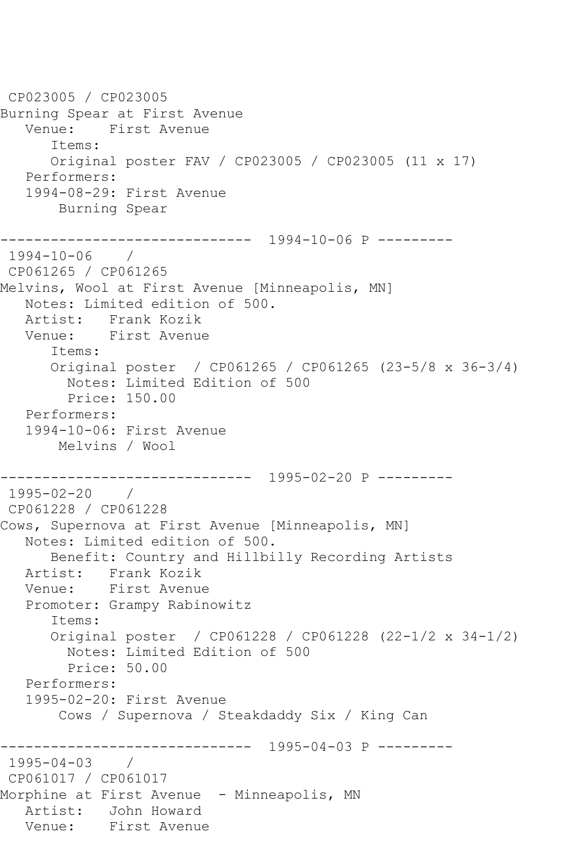CP023005 / CP023005 Burning Spear at First Avenue Venue: First Avenue Items: Original poster FAV / CP023005 / CP023005 (11 x 17) Performers: 1994-08-29: First Avenue Burning Spear ------------------------------ 1994-10-06 P --------- 1994-10-06 / CP061265 / CP061265 Melvins, Wool at First Avenue [Minneapolis, MN] Notes: Limited edition of 500. Artist: Frank Kozik Venue: First Avenue Items: Original poster / CP061265 / CP061265 (23-5/8 x 36-3/4) Notes: Limited Edition of 500 Price: 150.00 Performers: 1994-10-06: First Avenue Melvins / Wool ------------------------------ 1995-02-20 P --------- 1995-02-20 / CP061228 / CP061228 Cows, Supernova at First Avenue [Minneapolis, MN] Notes: Limited edition of 500. Benefit: Country and Hillbilly Recording Artists Artist: Frank Kozik<br>Venue: First Avenue First Avenue Promoter: Grampy Rabinowitz Items: Original poster / CP061228 / CP061228 (22-1/2 x 34-1/2) Notes: Limited Edition of 500 Price: 50.00 Performers: 1995-02-20: First Avenue Cows / Supernova / Steakdaddy Six / King Can ------------------------------ 1995-04-03 P --------- 1995-04-03 / CP061017 / CP061017 Morphine at First Avenue - Minneapolis, MN Artist: John Howard Venue: First Avenue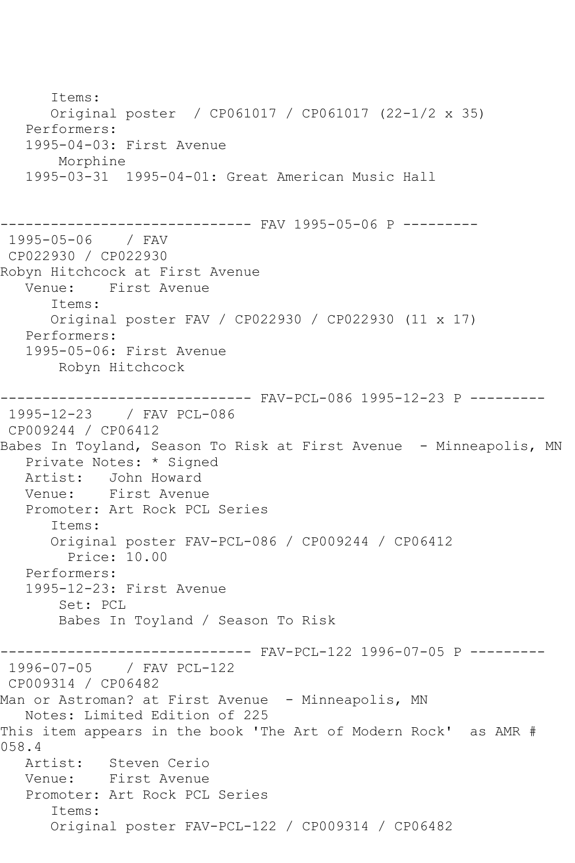Items: Original poster / CP061017 / CP061017 (22-1/2 x 35) Performers: 1995-04-03: First Avenue Morphine 1995-03-31 1995-04-01: Great American Music Hall ------------------------------ FAV 1995-05-06 P --------- 1995-05-06 / FAV CP022930 / CP022930 Robyn Hitchcock at First Avenue Venue: First Avenue Items: Original poster FAV / CP022930 / CP022930 (11 x 17) Performers: 1995-05-06: First Avenue Robyn Hitchcock ------------------------------ FAV-PCL-086 1995-12-23 P --------- 1995-12-23 / FAV PCL-086 CP009244 / CP06412 Babes In Toyland, Season To Risk at First Avenue - Minneapolis, MN Private Notes: \* Signed Artist: John Howard<br>Venue: First Avenue First Avenue Promoter: Art Rock PCL Series Items: Original poster FAV-PCL-086 / CP009244 / CP06412 Price: 10.00 Performers: 1995-12-23: First Avenue Set: PCL Babes In Toyland / Season To Risk ------------------------------ FAV-PCL-122 1996-07-05 P --------- 1996-07-05 / FAV PCL-122 CP009314 / CP06482 Man or Astroman? at First Avenue - Minneapolis, MN Notes: Limited Edition of 225 This item appears in the book 'The Art of Modern Rock' as AMR # 058.4<br>Artist: Steven Cerio Venue: First Avenue Promoter: Art Rock PCL Series Items: Original poster FAV-PCL-122 / CP009314 / CP06482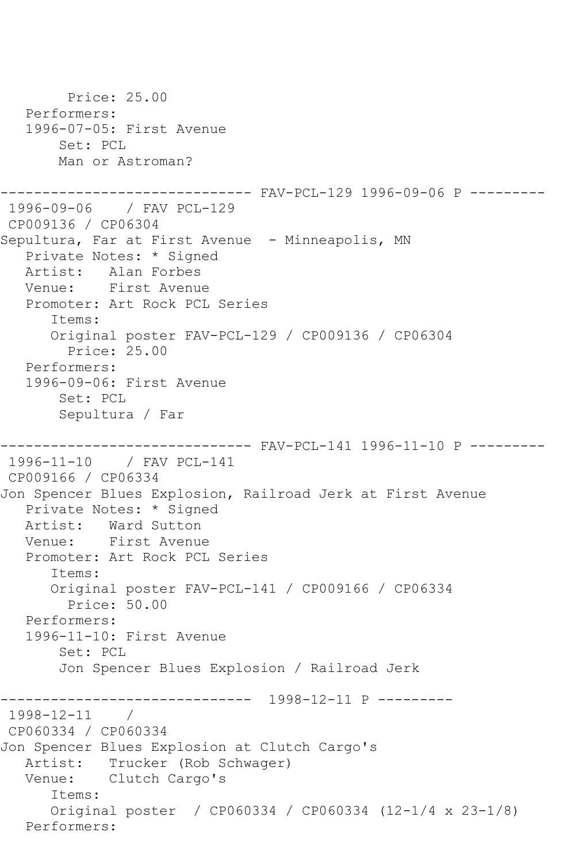```
 Price: 25.00
    Performers:
    1996-07-05: First Avenue
        Set: PCL
        Man or Astroman?
------------------------------ FAV-PCL-129 1996-09-06 P ---------
1996-09-06 / FAV PCL-129
CP009136 / CP06304
Sepultura, Far at First Avenue - Minneapolis, MN
    Private Notes: * Signed
  Artist: Alan Forbes<br>Venue: First Avenu
            First Avenue
    Promoter: Art Rock PCL Series
       Items:
       Original poster FAV-PCL-129 / CP009136 / CP06304
         Price: 25.00
    Performers:
    1996-09-06: First Avenue
        Set: PCL
        Sepultura / Far
                 ------------------------------ FAV-PCL-141 1996-11-10 P ---------
1996-11-10 / FAV PCL-141
CP009166 / CP06334
Jon Spencer Blues Explosion, Railroad Jerk at First Avenue
    Private Notes: * Signed
   Artist: Ward Sutton
    Venue: First Avenue
    Promoter: Art Rock PCL Series
       Items:
       Original poster FAV-PCL-141 / CP009166 / CP06334
         Price: 50.00
    Performers:
    1996-11-10: First Avenue
        Set: PCL
        Jon Spencer Blues Explosion / Railroad Jerk
             ------------------------------ 1998-12-11 P ---------
1998 - 12 - 11CP060334 / CP060334
Jon Spencer Blues Explosion at Clutch Cargo's
   Artist: Trucker (Rob Schwager)
   Venue: Clutch Cargo's
       Items:
       Original poster / CP060334 / CP060334 (12-1/4 x 23-1/8)
   Performers:
```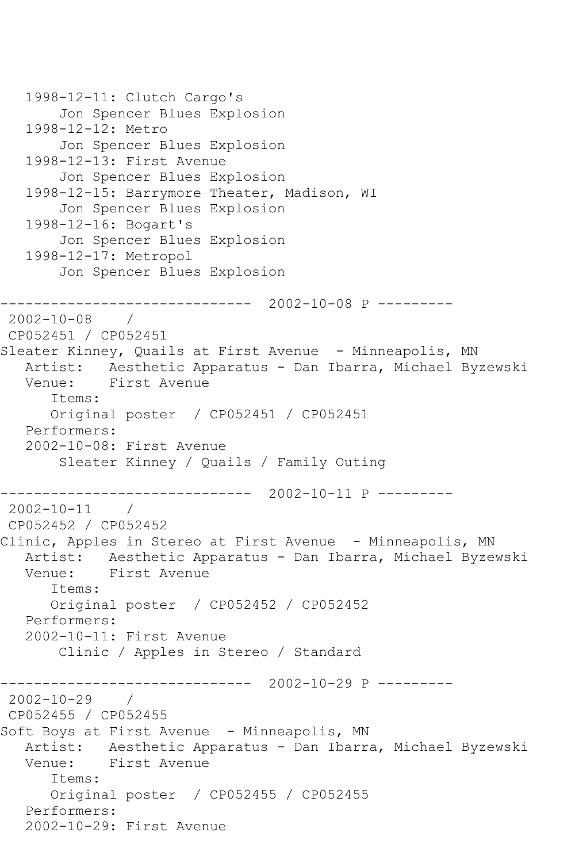```
 1998-12-11: Clutch Cargo's
        Jon Spencer Blues Explosion
   1998-12-12: Metro
        Jon Spencer Blues Explosion
   1998-12-13: First Avenue
        Jon Spencer Blues Explosion
   1998-12-15: Barrymore Theater, Madison, WI
        Jon Spencer Blues Explosion
   1998-12-16: Bogart's
        Jon Spencer Blues Explosion
   1998-12-17: Metropol
        Jon Spencer Blues Explosion
------------------------------ 2002-10-08 P ---------
2002-10-08 / 
CP052451 / CP052451
Sleater Kinney, Quails at First Avenue - Minneapolis, MN
   Artist: Aesthetic Apparatus - Dan Ibarra, Michael Byzewski
   Venue: First Avenue
       Items:
      Original poster / CP052451 / CP052451
   Performers:
   2002-10-08: First Avenue
        Sleater Kinney / Quails / Family Outing
          ------------------------------ 2002-10-11 P ---------
2002-10-11 / 
CP052452 / CP052452
Clinic, Apples in Stereo at First Avenue - Minneapolis, MN
   Artist: Aesthetic Apparatus - Dan Ibarra, Michael Byzewski
   Venue: First Avenue
       Items:
       Original poster / CP052452 / CP052452
   Performers:
   2002-10-11: First Avenue
        Clinic / Apples in Stereo / Standard
                  ------------------------------ 2002-10-29 P ---------
2002-10-29 / 
CP052455 / CP052455
Soft Boys at First Avenue - Minneapolis, MN
   Artist: Aesthetic Apparatus - Dan Ibarra, Michael Byzewski
   Venue: First Avenue
       Items:
      Original poster / CP052455 / CP052455
   Performers:
   2002-10-29: First Avenue
```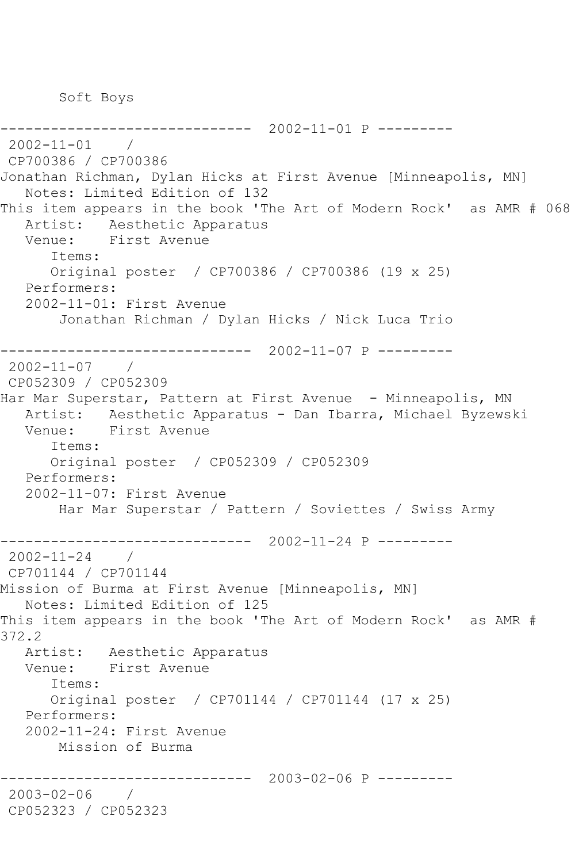Soft Boys

------------------------------ 2002-11-01 P --------- 2002-11-01 / CP700386 / CP700386 Jonathan Richman, Dylan Hicks at First Avenue [Minneapolis, MN] Notes: Limited Edition of 132 This item appears in the book 'The Art of Modern Rock' as AMR # 068 Artist: Aesthetic Apparatus Venue: First Avenue Items: Original poster / CP700386 / CP700386 (19 x 25) Performers: 2002-11-01: First Avenue Jonathan Richman / Dylan Hicks / Nick Luca Trio ------------------------------ 2002-11-07 P --------- 2002-11-07 / CP052309 / CP052309 Har Mar Superstar, Pattern at First Avenue - Minneapolis, MN Artist: Aesthetic Apparatus - Dan Ibarra, Michael Byzewski Venue: First Avenue Items: Original poster / CP052309 / CP052309 Performers: 2002-11-07: First Avenue Har Mar Superstar / Pattern / Soviettes / Swiss Army ------------------------------ 2002-11-24 P --------- 2002-11-24 / CP701144 / CP701144 Mission of Burma at First Avenue [Minneapolis, MN] Notes: Limited Edition of 125 This item appears in the book 'The Art of Modern Rock' as AMR # 372.2 Artist: Aesthetic Apparatus Venue: First Avenue Items: Original poster / CP701144 / CP701144 (17 x 25) Performers: 2002-11-24: First Avenue Mission of Burma ------------------------------ 2003-02-06 P --------- 2003-02-06 / CP052323 / CP052323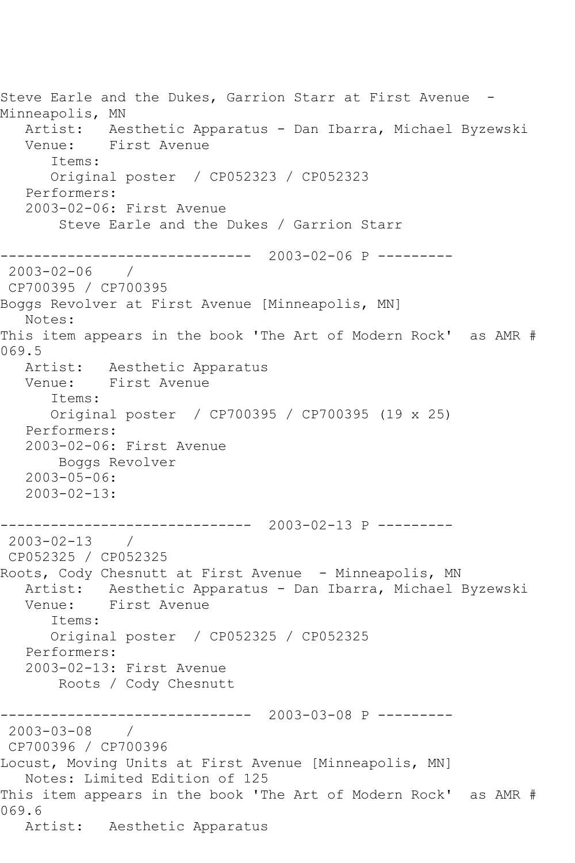Steve Earle and the Dukes, Garrion Starr at First Avenue - Minneapolis, MN Artist: Aesthetic Apparatus - Dan Ibarra, Michael Byzewski Venue: First Avenue Items: Original poster / CP052323 / CP052323 Performers: 2003-02-06: First Avenue Steve Earle and the Dukes / Garrion Starr ------------------------------ 2003-02-06 P --------- 2003-02-06 / CP700395 / CP700395 Boggs Revolver at First Avenue [Minneapolis, MN] Notes: This item appears in the book 'The Art of Modern Rock' as AMR # 069.5 Artist: Aesthetic Apparatus Venue: First Avenue Items: Original poster / CP700395 / CP700395 (19 x 25) Performers: 2003-02-06: First Avenue Boggs Revolver 2003-05-06: 2003-02-13: ------------------------------ 2003-02-13 P --------- 2003-02-13 / CP052325 / CP052325 Roots, Cody Chesnutt at First Avenue - Minneapolis, MN Artist: Aesthetic Apparatus - Dan Ibarra, Michael Byzewski Venue: First Avenue Items: Original poster / CP052325 / CP052325 Performers: 2003-02-13: First Avenue Roots / Cody Chesnutt ------------------------------ 2003-03-08 P --------- 2003-03-08 / CP700396 / CP700396 Locust, Moving Units at First Avenue [Minneapolis, MN] Notes: Limited Edition of 125 This item appears in the book 'The Art of Modern Rock' as AMR # 069.6 Artist: Aesthetic Apparatus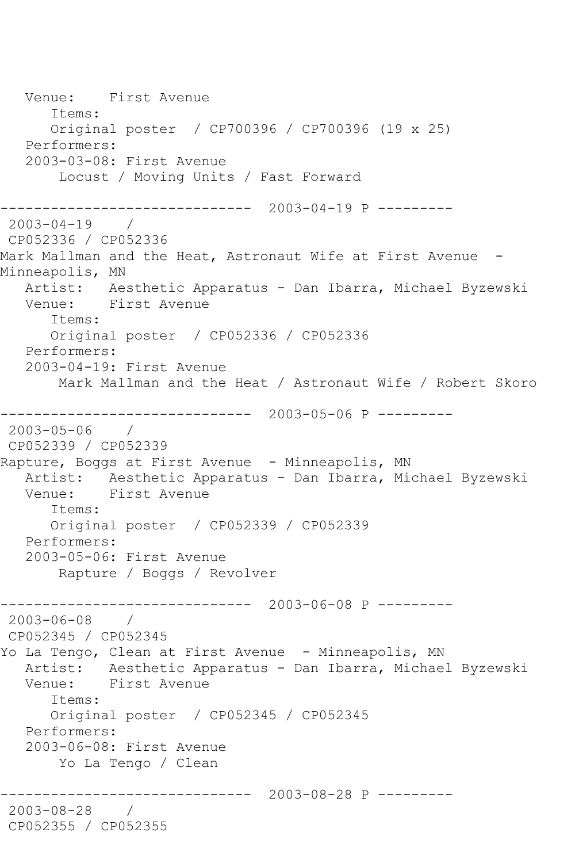Venue: First Avenue Items: Original poster / CP700396 / CP700396 (19 x 25) Performers: 2003-03-08: First Avenue Locust / Moving Units / Fast Forward ------------------------------ 2003-04-19 P --------- 2003-04-19 / CP052336 / CP052336 Mark Mallman and the Heat, Astronaut Wife at First Avenue - Minneapolis, MN Artist: Aesthetic Apparatus - Dan Ibarra, Michael Byzewski Venue: First Avenue Items: Original poster / CP052336 / CP052336 Performers: 2003-04-19: First Avenue Mark Mallman and the Heat / Astronaut Wife / Robert Skoro ------------------------------ 2003-05-06 P --------- 2003-05-06 / CP052339 / CP052339 Rapture, Boggs at First Avenue - Minneapolis, MN Artist: Aesthetic Apparatus - Dan Ibarra, Michael Byzewski<br>Venue: First Avenue First Avenue Items: Original poster / CP052339 / CP052339 Performers: 2003-05-06: First Avenue Rapture / Boggs / Revolver ------------------------------ 2003-06-08 P ---------  $2003 - 06 - 08$ CP052345 / CP052345 Yo La Tengo, Clean at First Avenue - Minneapolis, MN Artist: Aesthetic Apparatus - Dan Ibarra, Michael Byzewski Venue: First Avenue Items: Original poster / CP052345 / CP052345 Performers: 2003-06-08: First Avenue Yo La Tengo / Clean ------------------------------ 2003-08-28 P --------- 2003-08-28 / CP052355 / CP052355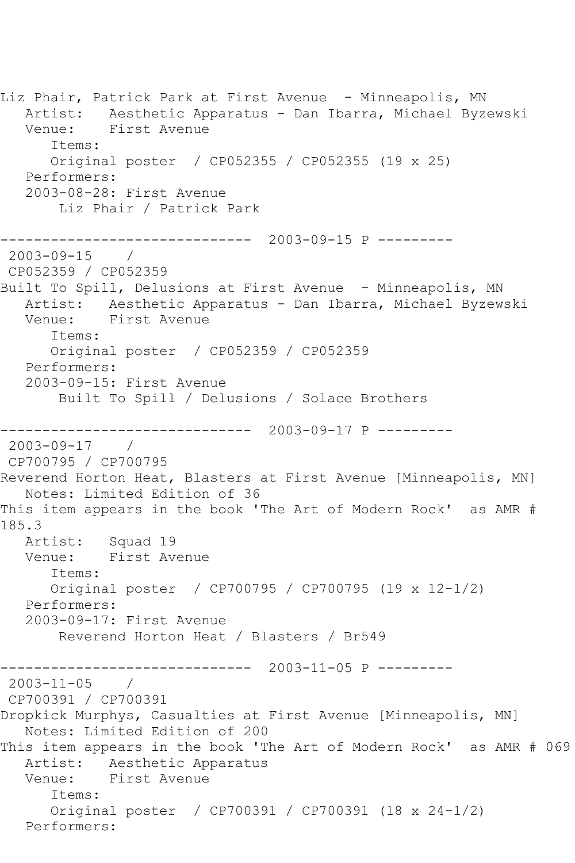Liz Phair, Patrick Park at First Avenue - Minneapolis, MN Artist: Aesthetic Apparatus - Dan Ibarra, Michael Byzewski Venue: First Avenue Items: Original poster / CP052355 / CP052355 (19 x 25) Performers: 2003-08-28: First Avenue Liz Phair / Patrick Park ------------------------------ 2003-09-15 P --------- 2003-09-15 / CP052359 / CP052359 Built To Spill, Delusions at First Avenue - Minneapolis, MN Artist: Aesthetic Apparatus - Dan Ibarra, Michael Byzewski Venue: First Avenue Items: Original poster / CP052359 / CP052359 Performers: 2003-09-15: First Avenue Built To Spill / Delusions / Solace Brothers ------------------------------ 2003-09-17 P --------- 2003-09-17 / CP700795 / CP700795 Reverend Horton Heat, Blasters at First Avenue [Minneapolis, MN] Notes: Limited Edition of 36 This item appears in the book 'The Art of Modern Rock' as AMR # 185.3 Artist: Squad 19 Venue: First Avenue Items: Original poster / CP700795 / CP700795 (19 x 12-1/2) Performers: 2003-09-17: First Avenue Reverend Horton Heat / Blasters / Br549 ------------------------------ 2003-11-05 P --------- 2003-11-05 / CP700391 / CP700391 Dropkick Murphys, Casualties at First Avenue [Minneapolis, MN] Notes: Limited Edition of 200 This item appears in the book 'The Art of Modern Rock' as AMR # 069 Artist: Aesthetic Apparatus<br>Venue: First Avenue First Avenue Items: Original poster / CP700391 / CP700391 (18 x 24-1/2) Performers: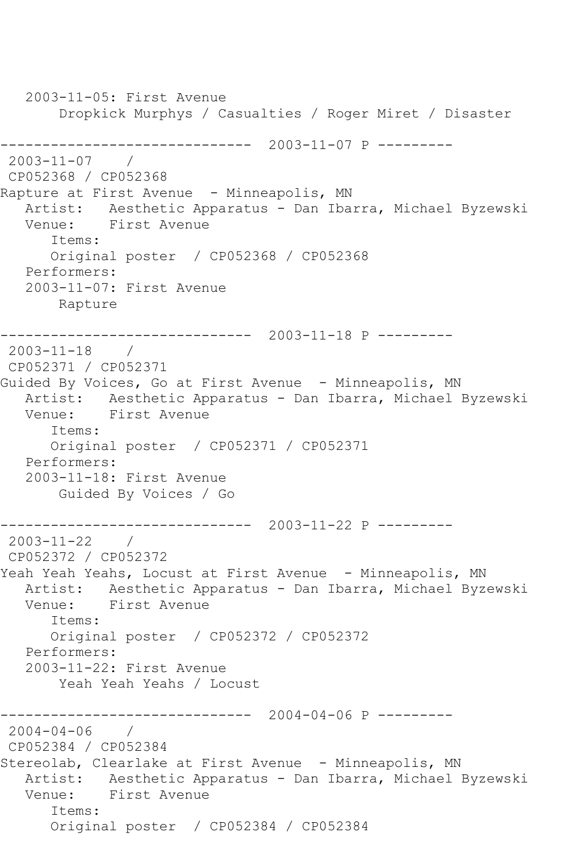2003-11-05: First Avenue Dropkick Murphys / Casualties / Roger Miret / Disaster ------------------------------ 2003-11-07 P --------- 2003-11-07 / CP052368 / CP052368 Rapture at First Avenue - Minneapolis, MN Artist: Aesthetic Apparatus - Dan Ibarra, Michael Byzewski Venue: First Avenue Items: Original poster / CP052368 / CP052368 Performers: 2003-11-07: First Avenue Rapture ------------------------------ 2003-11-18 P --------- 2003-11-18 / CP052371 / CP052371 Guided By Voices, Go at First Avenue - Minneapolis, MN Artist: Aesthetic Apparatus - Dan Ibarra, Michael Byzewski Venue: First Avenue Items: Original poster / CP052371 / CP052371 Performers: 2003-11-18: First Avenue Guided By Voices / Go ------------------------------ 2003-11-22 P --------- 2003-11-22 / CP052372 / CP052372 Yeah Yeah Yeahs, Locust at First Avenue - Minneapolis, MN Artist: Aesthetic Apparatus - Dan Ibarra, Michael Byzewski Venue: First Avenue Items: Original poster / CP052372 / CP052372 Performers: 2003-11-22: First Avenue Yeah Yeah Yeahs / Locust ------------------------------ 2004-04-06 P --------- 2004-04-06 / CP052384 / CP052384 Stereolab, Clearlake at First Avenue - Minneapolis, MN Artist: Aesthetic Apparatus - Dan Ibarra, Michael Byzewski Venue: First Avenue Items: Original poster / CP052384 / CP052384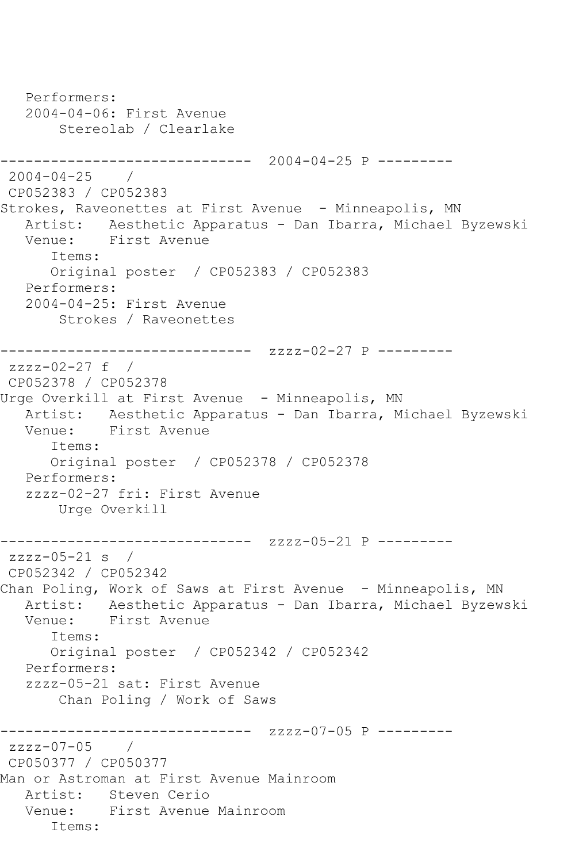Performers: 2004-04-06: First Avenue Stereolab / Clearlake ------------------------------ 2004-04-25 P --------- 2004-04-25 / CP052383 / CP052383 Strokes, Raveonettes at First Avenue - Minneapolis, MN Artist: Aesthetic Apparatus - Dan Ibarra, Michael Byzewski Venue: First Avenue Items: Original poster / CP052383 / CP052383 Performers: 2004-04-25: First Avenue Strokes / Raveonettes ------------------------------ zzzz-02-27 P --------  $zzzz-02-27$  f / CP052378 / CP052378 Urge Overkill at First Avenue - Minneapolis, MN Artist: Aesthetic Apparatus - Dan Ibarra, Michael Byzewski Venue: First Avenue Items: Original poster / CP052378 / CP052378 Performers: zzzz-02-27 fri: First Avenue Urge Overkill ------------------------------ zzzz-05-21 P -------- zzzz-05-21 s / CP052342 / CP052342 Chan Poling, Work of Saws at First Avenue - Minneapolis, MN Artist: Aesthetic Apparatus - Dan Ibarra, Michael Byzewski First Avenue Items: Original poster / CP052342 / CP052342 Performers: zzzz-05-21 sat: First Avenue Chan Poling / Work of Saws ------------- zzzz-07-05 P --------zzzz-07-05 / CP050377 / CP050377 Man or Astroman at First Avenue Mainroom Artist: Steven Cerio Venue: First Avenue Mainroom Items: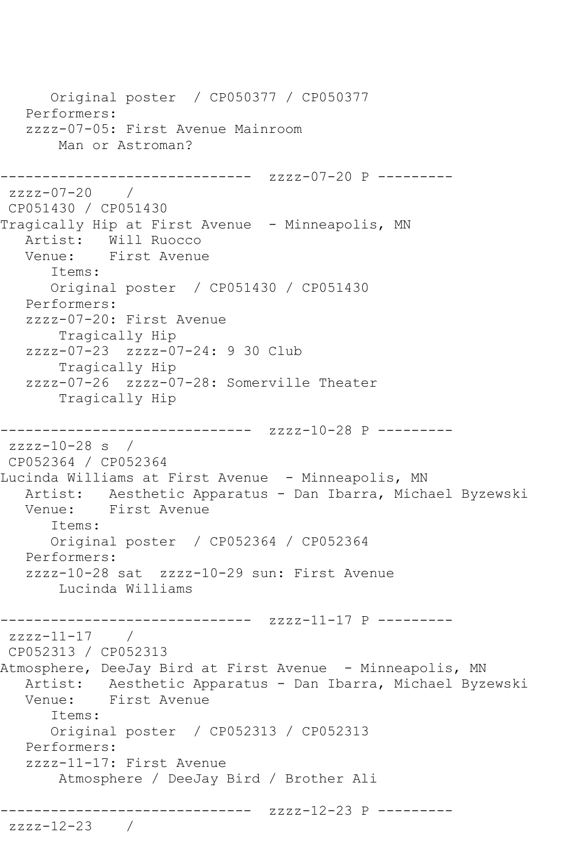Original poster / CP050377 / CP050377 Performers: zzzz-07-05: First Avenue Mainroom Man or Astroman? ------------------------------ zzzz-07-20 P -------- zzzz-07-20 / CP051430 / CP051430 Tragically Hip at First Avenue - Minneapolis, MN Artist: Will Ruocco<br>Venue: First Avenue First Avenue Items: Original poster / CP051430 / CP051430 Performers: zzzz-07-20: First Avenue Tragically Hip zzzz-07-23 zzzz-07-24: 9 30 Club Tragically Hip zzzz-07-26 zzzz-07-28: Somerville Theater Tragically Hip ------------------------------ zzzz-10-28 P -------- zzzz-10-28 s / CP052364 / CP052364 Lucinda Williams at First Avenue - Minneapolis, MN Artist: Aesthetic Apparatus - Dan Ibarra, Michael Byzewski Venue: First Avenue Items: Original poster / CP052364 / CP052364 Performers: zzzz-10-28 sat zzzz-10-29 sun: First Avenue Lucinda Williams ------------------------------ zzzz-11-17 P -------- zzzz-11-17 / CP052313 / CP052313 Atmosphere, DeeJay Bird at First Avenue - Minneapolis, MN Artist: Aesthetic Apparatus - Dan Ibarra, Michael Byzewski Venue: First Avenue Items: Original poster / CP052313 / CP052313 Performers: zzzz-11-17: First Avenue Atmosphere / DeeJay Bird / Brother Ali ------------------------------ zzzz-12-23 P -------- zzzz-12-23 /